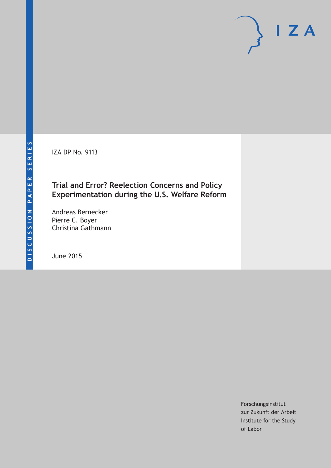IZA DP No. 9113

## **Trial and Error? Reelection Concerns and Policy Experimentation during the U.S. Welfare Reform**

Andreas Bernecker Pierre C. Boyer Christina Gathmann

June 2015

Forschungsinstitut zur Zukunft der Arbeit Institute for the Study of Labor

 $I Z A$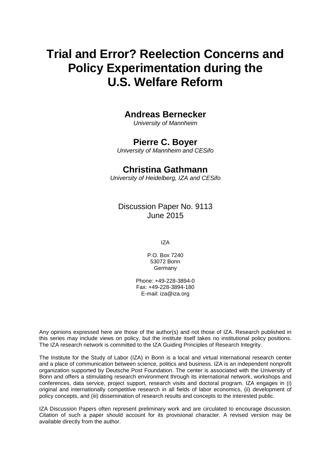# **Trial and Error? Reelection Concerns and Policy Experimentation during the U.S. Welfare Reform**

## **Andreas Bernecker**

*University of Mannheim*

## **Pierre C. Boyer**

*University of Mannheim and CESifo*

## **Christina Gathmann**

*University of Heidelberg, IZA and CESifo*

Discussion Paper No. 9113 June 2015

IZA

P.O. Box 7240 53072 Bonn Germany

Phone: +49-228-3894-0 Fax: +49-228-3894-180 E-mail: iza@iza.org

Any opinions expressed here are those of the author(s) and not those of IZA. Research published in this series may include views on policy, but the institute itself takes no institutional policy positions. The IZA research network is committed to the IZA Guiding Principles of Research Integrity.

<span id="page-1-0"></span>The Institute for the Study of Labor (IZA) in Bonn is a local and virtual international research center and a place of communication between science, politics and business. IZA is an independent nonprofit organization supported by Deutsche Post Foundation. The center is associated with the University of Bonn and offers a stimulating research environment through its international network, workshops and conferences, data service, project support, research visits and doctoral program. IZA engages in (i) original and internationally competitive research in all fields of labor economics, (ii) development of policy concepts, and (iii) dissemination of research results and concepts to the interested public.

IZA Discussion Papers often represent preliminary work and are circulated to encourage discussion. Citation of such a paper should account for its provisional character. A revised version may be available directly from the author.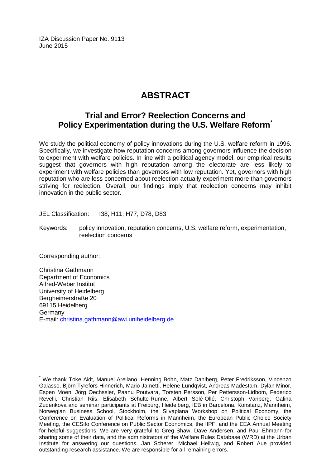IZA Discussion Paper No. 9113 June 2015

## **ABSTRACT**

## **Trial and Error? Reelection Concerns and Policy Experimentation during the U.S. Welfare Reform[\\*](#page-1-0)**

We study the political economy of policy innovations during the U.S. welfare reform in 1996. Specifically, we investigate how reputation concerns among governors influence the decision to experiment with welfare policies. In line with a political agency model, our empirical results suggest that governors with high reputation among the electorate are less likely to experiment with welfare policies than governors with low reputation. Yet, governors with high reputation who are less concerned about reelection actually experiment more than governors striving for reelection. Overall, our findings imply that reelection concerns may inhibit innovation in the public sector.

JEL Classification: I38, H11, H77, D78, D83

Keywords: policy innovation, reputation concerns, U.S. welfare reform, experimentation, reelection concerns

Corresponding author:

Christina Gathmann Department of Economics Alfred-Weber Institut University of Heidelberg Bergheimerstraße 20 69115 Heidelberg Germany E-mail: [christina.gathmann@awi.uniheidelberg.de](mailto:christina.gathmann@awi.uniheidelberg.de)

We thank Toke Aidt, Manuel Arellano, Henning Bohn, Matz Dahlberg, Peter Fredriksson, Vincenzo Galasso, Björn Tyrefors Hinnerich, Mario Jametti, Helene Lundqvist, Andreas Madestam, Dylan Minor, Espen Moen, Jörg Oechssler, Paanu Poutvara, Torsten Persson, Per Pettersson-Lidbom, Federico Revelli, Christian Riis, Elisabeth Schulte-Runne, Albert Solé-Ollé, Christoph Vanberg, Galina Zudenkova and seminar participants at Freiburg, Heidelberg, IEB in Barcelona, Konstanz, Mannheim, Norwegian Business School, Stockholm, the Silvaplana Workshop on Political Economy, the Conference on Evaluation of Political Reforms in Mannheim, the European Public Choice Society Meeting, the CESifo Conference on Public Sector Economics, the IIPF, and the EEA Annual Meeting for helpful suggestions. We are very grateful to Greg Shaw, Dave Andersen, and Paul Ehmann for sharing some of their data, and the administrators of the Welfare Rules Database (WRD) at the Urban Institute for answering our questions. Jan Scherer, Michael Hellwig, and Robert Aue provided outstanding research assistance. We are responsible for all remaining errors.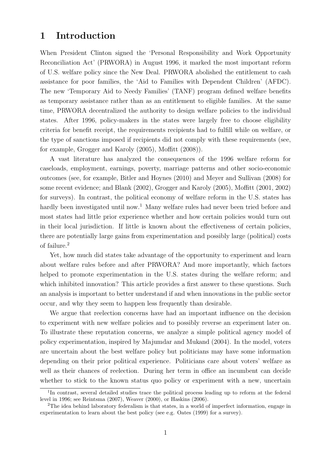## 1 Introduction

When President Clinton signed the 'Personal Responsibility and Work Opportunity Reconciliation Act' (PRWORA) in August 1996, it marked the most important reform of U.S. welfare policy since the New Deal. PRWORA abolished the entitlement to cash assistance for poor families, the 'Aid to Families with Dependent Children' (AFDC). The new 'Temporary Aid to Needy Families' (TANF) program defined welfare benefits as temporary assistance rather than as an entitlement to eligible families. At the same time, PRWORA decentralized the authority to design welfare policies to the individual states. After 1996, policy-makers in the states were largely free to choose eligibility criteria for benefit receipt, the requirements recipients had to fulfill while on welfare, or the type of sanctions imposed if recipients did not comply with these requirements (see, for example, Grogger and Karoly (2005), Moffitt (2008)).

A vast literature has analyzed the consequences of the 1996 welfare reform for caseloads, employment, earnings, poverty, marriage patterns and other socio-economic outcomes (see, for example, Bitler and Hoynes (2010) and Meyer and Sullivan (2008) for some recent evidence; and Blank (2002), Grogger and Karoly (2005), Moffitt (2001, 2002) for surveys). In contrast, the political economy of welfare reform in the U.S. states has hardly been investigated until now.<sup>1</sup> Many welfare rules had never been tried before and most states had little prior experience whether and how certain policies would turn out in their local jurisdiction. If little is known about the effectiveness of certain policies, there are potentially large gains from experimentation and possibly large (political) costs of failure.<sup>2</sup>

Yet, how much did states take advantage of the opportunity to experiment and learn about welfare rules before and after PRWORA? And more importantly, which factors helped to promote experimentation in the U.S. states during the welfare reform; and which inhibited innovation? This article provides a first answer to these questions. Such an analysis is important to better understand if and when innovations in the public sector occur, and why they seem to happen less frequently than desirable.

We argue that reelection concerns have had an important influence on the decision to experiment with new welfare policies and to possibly reverse an experiment later on. To illustrate these reputation concerns, we analyze a simple political agency model of policy experimentation, inspired by Majumdar and Mukand (2004). In the model, voters are uncertain about the best welfare policy but politicians may have some information depending on their prior political experience. Politicians care about voters' welfare as well as their chances of reelection. During her term in office an incumbent can decide whether to stick to the known status quo policy or experiment with a new, uncertain

<sup>&</sup>lt;sup>1</sup>In contrast, several detailed studies trace the political process leading up to reform at the federal level in 1996; see Reintsma (2007), Weaver (2000), or Haskins (2006).

<sup>2</sup>The idea behind laboratory federalism is that states, in a world of imperfect information, engage in experimentation to learn about the best policy (see e.g. Oates (1999) for a survey).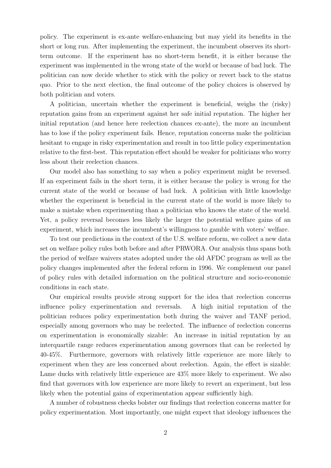policy. The experiment is ex-ante welfare-enhancing but may yield its benefits in the short or long run. After implementing the experiment, the incumbent observes its shortterm outcome. If the experiment has no short-term benefit, it is either because the experiment was implemented in the wrong state of the world or because of bad luck. The politician can now decide whether to stick with the policy or revert back to the status quo. Prior to the next election, the final outcome of the policy choices is observed by both politician and voters.

A politician, uncertain whether the experiment is beneficial, weighs the (risky) reputation gains from an experiment against her safe initial reputation. The higher her initial reputation (and hence here reelection chances ex-ante), the more an incumbent has to lose if the policy experiment fails. Hence, reputation concerns make the politician hesitant to engage in risky experimentation and result in too little policy experimentation relative to the first-best. This reputation effect should be weaker for politicians who worry less about their reelection chances.

Our model also has something to say when a policy experiment might be reversed. If an experiment fails in the short term, it is either because the policy is wrong for the current state of the world or because of bad luck. A politician with little knowledge whether the experiment is beneficial in the current state of the world is more likely to make a mistake when experimenting than a politician who knows the state of the world. Yet, a policy reversal becomes less likely the larger the potential welfare gains of an experiment, which increases the incumbent's willingness to gamble with voters' welfare.

To test our predictions in the context of the U.S. welfare reform, we collect a new data set on welfare policy rules both before and after PRWORA. Our analysis thus spans both the period of welfare waivers states adopted under the old AFDC program as well as the policy changes implemented after the federal reform in 1996. We complement our panel of policy rules with detailed information on the political structure and socio-economic conditions in each state.

Our empirical results provide strong support for the idea that reelection concerns influence policy experimentation and reversals. A high initial reputation of the politician reduces policy experimentation both during the waiver and TANF period, especially among governors who may be reelected. The influence of reelection concerns on experimentation is economically sizable: An increase in initial reputation by an interquartile range reduces experimentation among governors that can be reelected by 40-45%. Furthermore, governors with relatively little experience are more likely to experiment when they are less concerned about reelection. Again, the effect is sizable: Lame ducks with relatively little experience are 43% more likely to experiment. We also find that governors with low experience are more likely to revert an experiment, but less likely when the potential gains of experimentation appear sufficiently high.

A number of robustness checks bolster our findings that reelection concerns matter for policy experimentation. Most importantly, one might expect that ideology influences the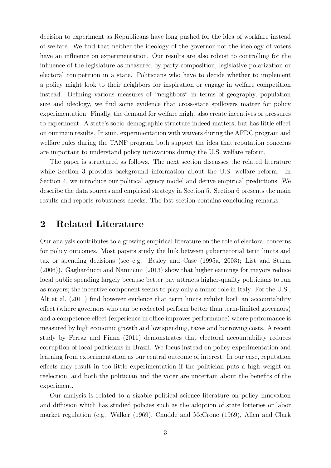decision to experiment as Republicans have long pushed for the idea of workfare instead of welfare. We find that neither the ideology of the governor nor the ideology of voters have an influence on experimentation. Our results are also robust to controlling for the influence of the legislature as measured by party composition, legislative polarization or electoral competition in a state. Politicians who have to decide whether to implement a policy might look to their neighbors for inspiration or engage in welfare competition instead. Defining various measures of "neighbors" in terms of geography, population size and ideology, we find some evidence that cross-state spillovers matter for policy experimentation. Finally, the demand for welfare might also create incentives or pressures to experiment. A state's socio-demographic structure indeed matters, but has little effect on our main results. In sum, experimentation with waivers during the AFDC program and welfare rules during the TANF program both support the idea that reputation concerns are important to understand policy innovations during the U.S. welfare reform.

The paper is structured as follows. The next section discusses the related literature while Section 3 provides background information about the U.S. welfare reform. In Section 4, we introduce our political agency model and derive empirical predictions. We describe the data sources and empirical strategy in Section 5. Section 6 presents the main results and reports robustness checks. The last section contains concluding remarks.

## 2 Related Literature

Our analysis contributes to a growing empirical literature on the role of electoral concerns for policy outcomes. Most papers study the link between gubernatorial term limits and tax or spending decisions (see e.g. Besley and Case (1995a, 2003); List and Sturm (2006)). Gagliarducci and Nannicini (2013) show that higher earnings for mayors reduce local public spending largely because better pay attracts higher-quality politicians to run as mayors; the incentive component seems to play only a minor role in Italy. For the U.S., Alt et al. (2011) find however evidence that term limits exhibit both an accountability effect (where governors who can be reelected perform better than term-limited governors) and a competence effect (experience in office improves performance) where performance is measured by high economic growth and low spending, taxes and borrowing costs. A recent study by Ferraz and Finan (2011) demonstrates that electoral accountability reduces corruption of local politicians in Brazil. We focus instead on policy experimentation and learning from experimentation as our central outcome of interest. In our case, reputation effects may result in too little experimentation if the politician puts a high weight on reelection, and both the politician and the voter are uncertain about the benefits of the experiment.

Our analysis is related to a sizable political science literature on policy innovation and diffusion which has studied policies such as the adoption of state lotteries or labor market regulation (e.g. Walker (1969), Cnudde and McCrone (1969), Allen and Clark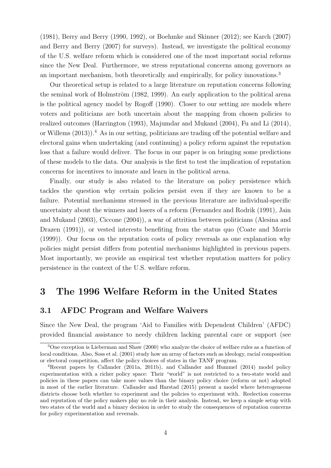(1981), Berry and Berry (1990, 1992), or Boehmke and Skinner (2012); see Karch (2007) and Berry and Berry (2007) for surveys). Instead, we investigate the political economy of the U.S. welfare reform which is considered one of the most important social reforms since the New Deal. Furthermore, we stress reputational concerns among governors as an important mechanism, both theoretically and empirically, for policy innovations.<sup>3</sup>

Our theoretical setup is related to a large literature on reputation concerns following the seminal work of Holmström (1982, 1999). An early application to the political arena is the political agency model by Rogoff (1990). Closer to our setting are models where voters and politicians are both uncertain about the mapping from chosen policies to realized outcomes (Harrington (1993), Majumdar and Mukand (2004), Fu and Li (2014), or Willems (2013)).<sup>4</sup> As in our setting, politicians are trading off the potential welfare and electoral gains when undertaking (and continuing) a policy reform against the reputation loss that a failure would deliver. The focus in our paper is on bringing some predictions of these models to the data. Our analysis is the first to test the implication of reputation concerns for incentives to innovate and learn in the political arena.

Finally, our study is also related to the literature on policy persistence which tackles the question why certain policies persist even if they are known to be a failure. Potential mechanisms stressed in the previous literature are individual-specific uncertainty about the winners and losers of a reform (Fernandez and Rodrik (1991), Jain and Mukand (2003), Ciccone (2004)), a war of attrition between politicians (Alesina and Drazen (1991)), or vested interests benefiting from the status quo (Coate and Morris (1999)). Our focus on the reputation costs of policy reversals as one explanation why policies might persist differs from potential mechanisms highlighted in previous papers. Most importantly, we provide an empirical test whether reputation matters for policy persistence in the context of the U.S. welfare reform.

## 3 The 1996 Welfare Reform in the United States

### 3.1 AFDC Program and Welfare Waivers

Since the New Deal, the program 'Aid to Families with Dependent Children' (AFDC) provided financial assistance to needy children lacking parental care or support (see

<sup>3</sup>One exception is Lieberman and Shaw (2000) who analyze the choice of welfare rules as a function of local conditions. Also, Soss et al. (2001) study how an array of factors such as ideology, racial composition or electoral competition, affect the policy choices of states in the TANF program.

<sup>4</sup>Recent papers by Callander (2011a, 2011b), and Callander and Hummel (2014) model policy experimentation with a richer policy space: Their "world" is not restricted to a two-state world and policies in these papers can take more values than the binary policy choice (reform or not) adopted in most of the earlier literature. Callander and Harstad (2015) present a model where heterogeneous districts choose both whether to experiment and the policies to experiment with. Reelection concerns and reputation of the policy makers play no role in their analysis. Instead, we keep a simple setup with two states of the world and a binary decision in order to study the consequences of reputation concerns for policy experimentation and reversals.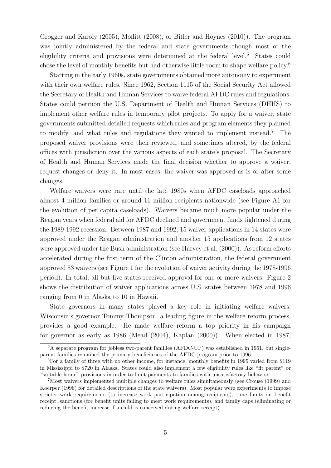Grogger and Karoly (2005), Moffitt (2008), or Bitler and Hoynes (2010)). The program was jointly administered by the federal and state governments though most of the eligibility criteria and provisions were determined at the federal level.<sup>5</sup> States could chose the level of monthly benefits but had otherwise little room to shape welfare policy.<sup>6</sup>

Starting in the early 1960s, state governments obtained more autonomy to experiment with their own welfare rules. Since 1962, Section 1115 of the Social Security Act allowed the Secretary of Health and Human Services to waive federal AFDC rules and regulations. States could petition the U.S. Department of Health and Human Services (DHHS) to implement other welfare rules in temporary pilot projects. To apply for a waiver, state governments submitted detailed requests which rules and program elements they planned to modify, and what rules and regulations they wanted to implement instead.<sup>7</sup> The proposed waiver provisions were then reviewed, and sometimes altered, by the federal offices with jurisdiction over the various aspects of each state's proposal. The Secretary of Health and Human Services made the final decision whether to approve a waiver, request changes or deny it. In most cases, the waiver was approved as is or after some changes.

Welfare waivers were rare until the late 1980s when AFDC caseloads approached almost 4 million families or around 11 million recipients nationwide (see Figure A1 for the evolution of per capita caseloads). Waivers became much more popular under the Reagan years when federal aid for AFDC declined and government funds tightened during the 1989-1992 recession. Between 1987 and 1992, 15 waiver applications in 14 states were approved under the Reagan administration and another 15 applications from 12 states were approved under the Bush administration (see Harvey et al. (2000)). As reform efforts accelerated during the first term of the Clinton administration, the federal government approved 83 waivers (see Figure 1 for the evolution of waiver activity during the 1978-1996 period). In total, all but five states received approval for one or more waivers. Figure 2 shows the distribution of waiver applications across U.S. states between 1978 and 1996 ranging from 0 in Alaska to 10 in Hawaii.

State governors in many states played a key role in initiating welfare waivers. Wisconsin's governor Tommy Thompson, a leading figure in the welfare reform process, provides a good example. He made welfare reform a top priority in his campaign for governor as early as 1986 (Mead (2004), Kaplan (2000)). When elected in 1987,

<sup>&</sup>lt;sup>5</sup>A separate program for jobless two-parent families (AFDC-UP) was established in 1961, but singleparent families remained the primary beneficiaries of the AFDC program prior to 1996.

<sup>6</sup>For a family of three with no other income, for instance, monthly benefits in 1995 varied from \$119 in Mississippi to \$720 in Alaska. States could also implement a few eligibility rules like "fit parent" or "suitable home" provisions in order to limit payments to families with unsatisfactory behavior.

<sup>7</sup>Most waivers implemented multiple changes to welfare rules simultaneously (see Crouse (1999) and Koerper (1996) for detailed descriptions of the state waivers). Most popular were experiments to impose stricter work requirements (to increase work participation among recipients), time limits on benefit receipt, sanctions (for benefit units failing to meet work requirements), and family caps (eliminating or reducing the benefit increase if a child is conceived during welfare receipt).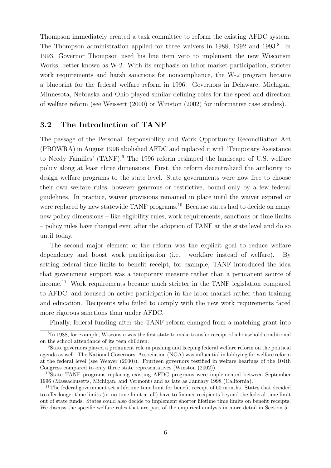Thompson immediately created a task committee to reform the existing AFDC system. The Thompson administration applied for three waivers in 1988, 1992 and 1993.<sup>8</sup> In 1993, Governor Thompson used his line item veto to implement the new Wisconsin Works, better known as W-2. With its emphasis on labor market participation, stricter work requirements and harsh sanctions for noncompliance, the W-2 program became a blueprint for the federal welfare reform in 1996. Governors in Delaware, Michigan, Minnesota, Nebraska and Ohio played similar defining roles for the speed and direction of welfare reform (see Weissert (2000) or Winston (2002) for informative case studies).

### 3.2 The Introduction of TANF

The passage of the Personal Responsibility and Work Opportunity Reconciliation Act (PROWRA) in August 1996 abolished AFDC and replaced it with 'Temporary Assistance to Needy Families' (TANF).<sup>9</sup> The 1996 reform reshaped the landscape of U.S. welfare policy along at least three dimensions: First, the reform decentralized the authority to design welfare programs to the state level. State governments were now free to choose their own welfare rules, however generous or restrictive, bound only by a few federal guidelines. In practice, waiver provisions remained in place until the waiver expired or were replaced by new statewide TANF programs.<sup>10</sup> Because states had to decide on many new policy dimensions – like eligibility rules, work requirements, sanctions or time limits – policy rules have changed even after the adoption of TANF at the state level and do so until today.

The second major element of the reform was the explicit goal to reduce welfare dependency and boost work participation (i.e. workfare instead of welfare). By setting federal time limits to benefit receipt, for example, TANF introduced the idea that government support was a temporary measure rather than a permanent source of income.<sup>11</sup> Work requirements became much stricter in the TANF legislation compared to AFDC, and focused on active participation in the labor market rather than training and education. Recipients who failed to comply with the new work requirements faced more rigorous sanctions than under AFDC.

Finally, federal funding after the TANF reform changed from a matching grant into

<sup>&</sup>lt;sup>8</sup>In 1988, for example, Wisconsin was the first state to make transfer receipt of a household conditional on the school attendance of its teen children.

<sup>9</sup>State governors played a prominent role in pushing and keeping federal welfare reform on the political agenda as well. The National Governors' Association (NGA) was influential in lobbying for welfare reform at the federal level (see Weaver (2000)). Fourteen governors testified in welfare hearings of the 104th Congress compared to only three state representatives (Winston (2002)).

<sup>10</sup>State TANF programs replacing existing AFDC programs were implemented between September 1996 (Massachusetts, Michigan, and Vermont) and as late as January 1998 (California).

<sup>&</sup>lt;sup>11</sup>The federal government set a lifetime time limit for benefit receipt of 60 months. States that decided to offer longer time limits (or no time limit at all) have to finance recipients beyond the federal time limit out of state funds. States could also decide to implement shorter lifetime time limits on benefit receipts. We discuss the specific welfare rules that are part of the empirical analysis in more detail in Section 5.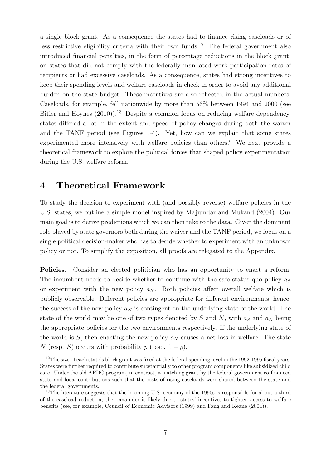a single block grant. As a consequence the states had to finance rising caseloads or of less restrictive eligibility criteria with their own funds.<sup>12</sup> The federal government also introduced financial penalties, in the form of percentage reductions in the block grant, on states that did not comply with the federally mandated work participation rates of recipients or had excessive caseloads. As a consequence, states had strong incentives to keep their spending levels and welfare caseloads in check in order to avoid any additional burden on the state budget. These incentives are also reflected in the actual numbers: Caseloads, for example, fell nationwide by more than 56% between 1994 and 2000 (see Bitler and Hoynes  $(2010)$ <sup>13</sup> Despite a common focus on reducing welfare dependency, states differed a lot in the extent and speed of policy changes during both the waiver and the TANF period (see Figures 1-4). Yet, how can we explain that some states experimented more intensively with welfare policies than others? We next provide a theoretical framework to explore the political forces that shaped policy experimentation during the U.S. welfare reform.

## 4 Theoretical Framework

To study the decision to experiment with (and possibly reverse) welfare policies in the U.S. states, we outline a simple model inspired by Majumdar and Mukand (2004). Our main goal is to derive predictions which we can then take to the data. Given the dominant role played by state governors both during the waiver and the TANF period, we focus on a single political decision-maker who has to decide whether to experiment with an unknown policy or not. To simplify the exposition, all proofs are relegated to the Appendix.

Policies. Consider an elected politician who has an opportunity to enact a reform. The incumbent needs to decide whether to continue with the safe status quo policy  $a<sub>S</sub>$ or experiment with the new policy  $a_N$ . Both policies affect overall welfare which is publicly observable. Different policies are appropriate for different environments; hence, the success of the new policy  $a_N$  is contingent on the underlying state of the world. The state of the world may be one of two types denoted by  $S$  and  $N$ , with  $a_S$  and  $a_N$  being the appropriate policies for the two environments respectively. If the underlying state of the world is S, then enacting the new policy  $a_N$  causes a net loss in welfare. The state N (resp. S) occurs with probability p (resp.  $1 - p$ ).

<sup>&</sup>lt;sup>12</sup>The size of each state's block grant was fixed at the federal spending level in the 1992-1995 fiscal years. States were further required to contribute substantially to other program components like subsidized child care. Under the old AFDC program, in contrast, a matching grant by the federal government co-financed state and local contributions such that the costs of rising caseloads were shared between the state and the federal governments.

<sup>&</sup>lt;sup>13</sup>The literature suggests that the booming U.S. economy of the 1990s is responsible for about a third of the caseload reduction; the remainder is likely due to states' incentives to tighten access to welfare benefits (see, for example, Council of Economic Advisors (1999) and Fang and Keane (2004)).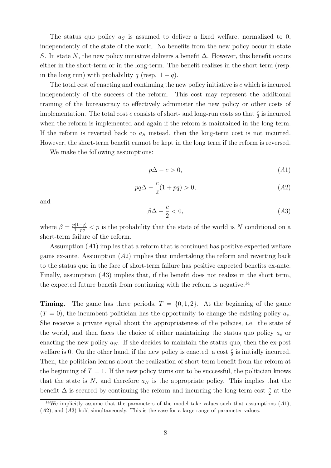The status quo policy  $a<sub>S</sub>$  is assumed to deliver a fixed welfare, normalized to 0, independently of the state of the world. No benefits from the new policy occur in state S. In state N, the new policy initiative delivers a benefit  $\Delta$ . However, this benefit occurs either in the short-term or in the long-term. The benefit realizes in the short term (resp. in the long run) with probability q (resp.  $1 - q$ ).

The total cost of enacting and continuing the new policy initiative is c which is incurred independently of the success of the reform. This cost may represent the additional training of the bureaucracy to effectively administer the new policy or other costs of implementation. The total cost c consists of short- and long-run costs so that  $\frac{c}{2}$  is incurred when the reform is implemented and again if the reform is maintained in the long term. If the reform is reverted back to  $a<sub>S</sub>$  instead, then the long-term cost is not incurred. However, the short-term benefit cannot be kept in the long term if the reform is reversed.

We make the following assumptions:

$$
p\Delta - c > 0,\tag{A1}
$$

$$
pq\Delta - \frac{c}{2}(1+pq) > 0,\t(A2)
$$

and

$$
\beta \Delta - \frac{c}{2} < 0,\tag{A3}
$$

where  $\beta = \frac{p(1-q)}{1-pq} < p$  is the probability that the state of the world is N conditional on a short-term failure of the reform.

Assumption (A1) implies that a reform that is continued has positive expected welfare gains ex-ante. Assumption  $(A2)$  implies that undertaking the reform and reverting back to the status quo in the face of short-term failure has positive expected benefits ex-ante. Finally, assumption (A3) implies that, if the benefit does not realize in the short term, the expected future benefit from continuing with the reform is negative.<sup>14</sup>

**Timing.** The game has three periods,  $T = \{0, 1, 2\}$ . At the beginning of the game  $(T = 0)$ , the incumbent politician has the opportunity to change the existing policy  $a_s$ . She receives a private signal about the appropriateness of the policies, i.e. the state of the world, and then faces the choice of either maintaining the status quo policy  $a_s$  or enacting the new policy  $a_N$ . If she decides to maintain the status quo, then the ex-post welfare is 0. On the other hand, if the new policy is enacted, a cost  $\frac{c}{2}$  is initially incurred. Then, the politician learns about the realization of short-term benefit from the reform at the beginning of  $T = 1$ . If the new policy turns out to be successful, the politician knows that the state is  $N$ , and therefore  $a_N$  is the appropriate policy. This implies that the benefit  $\Delta$  is secured by continuing the reform and incurring the long-term cost  $\frac{c}{2}$  at the

<sup>&</sup>lt;sup>14</sup>We implicitly assume that the parameters of the model take values such that assumptions  $(A1)$ , (A2), and (A3) hold simultaneously. This is the case for a large range of parameter values.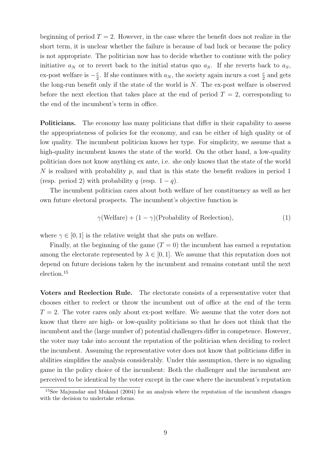beginning of period  $T = 2$ . However, in the case where the benefit does not realize in the short term, it is unclear whether the failure is because of bad luck or because the policy is not appropriate. The politician now has to decide whether to continue with the policy initiative  $a_N$  or to revert back to the initial status quo  $a_S$ . If she reverts back to  $a_S$ , ex-post welfare is  $-\frac{c}{2}$  $\frac{c}{2}$ . If she continues with  $a_N$ , the society again incurs a cost  $\frac{c}{2}$  and gets the long-run benefit only if the state of the world is  $N$ . The ex-post welfare is observed before the next election that takes place at the end of period  $T = 2$ , corresponding to the end of the incumbent's term in office.

**Politicians.** The economy has many politicians that differ in their capability to assess the appropriateness of policies for the economy, and can be either of high quality or of low quality. The incumbent politician knows her type. For simplicity, we assume that a high-quality incumbent knows the state of the world. On the other hand, a low-quality politician does not know anything ex ante, i.e. she only knows that the state of the world N is realized with probability p, and that in this state the benefit realizes in period 1 (resp. period 2) with probability q (resp.  $1 - q$ ).

The incumbent politician cares about both welfare of her constituency as well as her own future electoral prospects. The incumbent's objective function is

$$
\gamma(\text{Welfare}) + (1 - \gamma)(\text{Probability of Reelectron}),\tag{1}
$$

where  $\gamma \in [0, 1]$  is the relative weight that she puts on welfare.

Finally, at the beginning of the game  $(T = 0)$  the incumbent has earned a reputation among the electorate represented by  $\lambda \in [0, 1]$ . We assume that this reputation does not depend on future decisions taken by the incumbent and remains constant until the next election.<sup>15</sup>

Voters and Reelection Rule. The electorate consists of a representative voter that chooses either to reelect or throw the incumbent out of office at the end of the term  $T = 2$ . The voter cares only about ex-post welfare. We assume that the voter does not know that there are high- or low-quality politicians so that he does not think that the incumbent and the (large number of) potential challengers differ in competence. However, the voter may take into account the reputation of the politician when deciding to reelect the incumbent. Assuming the representative voter does not know that politicians differ in abilities simplifies the analysis considerably. Under this assumption, there is no signaling game in the policy choice of the incumbent: Both the challenger and the incumbent are perceived to be identical by the voter except in the case where the incumbent's reputation

<sup>15</sup>See Majumdar and Mukand (2004) for an analysis where the reputation of the incumbent changes with the decision to undertake reforms.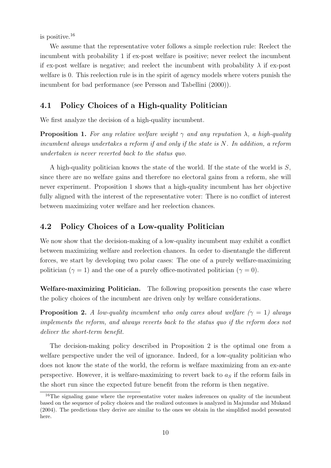is positive.<sup>16</sup>

We assume that the representative voter follows a simple reelection rule: Reelect the incumbent with probability 1 if ex-post welfare is positive; never reelect the incumbent if ex-post welfare is negative; and reelect the incumbent with probability  $\lambda$  if ex-post welfare is 0. This reelection rule is in the spirit of agency models where voters punish the incumbent for bad performance (see Persson and Tabellini (2000)).

### 4.1 Policy Choices of a High-quality Politician

We first analyze the decision of a high-quality incumbent.

**Proposition 1.** For any relative welfare weight  $\gamma$  and any reputation  $\lambda$ , a high-quality incumbent always undertakes a reform if and only if the state is N. In addition, a reform undertaken is never reverted back to the status quo.

A high-quality politician knows the state of the world. If the state of the world is S, since there are no welfare gains and therefore no electoral gains from a reform, she will never experiment. Proposition 1 shows that a high-quality incumbent has her objective fully aligned with the interest of the representative voter: There is no conflict of interest between maximizing voter welfare and her reelection chances.

### 4.2 Policy Choices of a Low-quality Politician

We now show that the decision-making of a low-quality incumbent may exhibit a conflict between maximizing welfare and reelection chances. In order to disentangle the different forces, we start by developing two polar cases: The one of a purely welfare-maximizing politician ( $\gamma = 1$ ) and the one of a purely office-motivated politician ( $\gamma = 0$ ).

Welfare-maximizing Politician. The following proposition presents the case where the policy choices of the incumbent are driven only by welfare considerations.

**Proposition 2.** A low-quality incumbent who only cares about welfare ( $\gamma = 1$ ) always implements the reform, and always reverts back to the status quo if the reform does not deliver the short-term benefit.

The decision-making policy described in Proposition 2 is the optimal one from a welfare perspective under the veil of ignorance. Indeed, for a low-quality politician who does not know the state of the world, the reform is welfare maximizing from an ex-ante perspective. However, it is welfare-maximizing to revert back to  $a<sub>S</sub>$  if the reform fails in the short run since the expected future benefit from the reform is then negative.

<sup>&</sup>lt;sup>16</sup>The signaling game where the representative voter makes inferences on quality of the incumbent based on the sequence of policy choices and the realized outcomes is analyzed in Majumdar and Mukand (2004). The predictions they derive are similar to the ones we obtain in the simplified model presented here.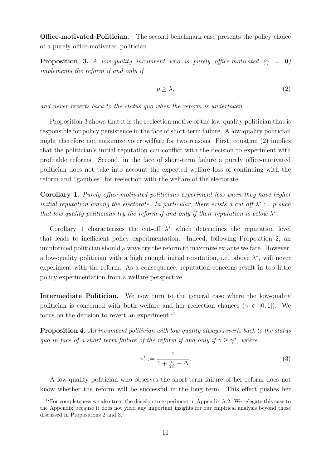Office-motivated Politician. The second benchmark case presents the policy choice of a purely office-motivated politician.

**Proposition 3.** A low-quality incumbent who is purely office-motivated ( $\gamma = 0$ ) implements the reform if and only if

$$
p \ge \lambda,\tag{2}
$$

and never reverts back to the status quo when the reform is undertaken.

Proposition 3 shows that it is the reelection motive of the low-quality politician that is responsible for policy persistence in the face of short-term failure. A low-quality politician might therefore not maximize voter welfare for two reasons. First, equation (2) implies that the politician's initial reputation can conflict with the decision to experiment with profitable reforms. Second, in the face of short-term failure a purely office-motivated politician does not take into account the expected welfare loss of continuing with the reform and "gambles" for reelection with the welfare of the electorate.

Corollary 1. Purely office-motivated politicians experiment less when they have higher initial reputation among the electorate. In particular, there exists a cut-off  $\lambda^* := p$  such that low-quality politicians try the reform if and only if their reputation is below  $\lambda^*$ .

Corollary 1 characterizes the cut-off  $\lambda^*$  which determines the reputation level that leads to inefficient policy experimentation. Indeed, following Proposition 2, an uninformed politician should always try the reform to maximize ex-ante welfare. However, a low-quality politician with a high enough initial reputation, i.e. above  $\lambda^*$ , will never experiment with the reform. As a consequence, reputation concerns result in too little policy experimentation from a welfare perspective.

Intermediate Politician. We now turn to the general case where the low-quality politician is concerned with both welfare and her reelection chances ( $\gamma \in [0,1]$ ). We focus on the decision to revert an experiment.<sup>17</sup>

Proposition 4. An incumbent politician with low-quality always reverts back to the status quo in face of a short-term failure of the reform if and only if  $\gamma \geq \gamma^*$ , where

$$
\gamma^* := \frac{1}{1 + \frac{c}{2\beta} - \Delta}.\tag{3}
$$

A low-quality politician who observes the short-term failure of her reform does not know whether the reform will be successful in the long term. This effect pushes her

<sup>&</sup>lt;sup>17</sup>For completeness we also treat the decision to experiment in Appendix A.2. We relegate this case to the Appendix because it does not yield any important insights for our empirical analysis beyond those discussed in Propositions 2 and 3.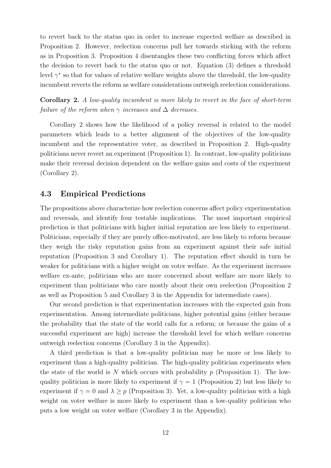to revert back to the status quo in order to increase expected welfare as described in Proposition 2. However, reelection concerns pull her towards sticking with the reform as in Proposition 3. Proposition 4 disentangles these two conflicting forces which affect the decision to revert back to the status quo or not. Equation (3) defines a threshold level  $\gamma^*$  so that for values of relative welfare weights above the threshold, the low-quality incumbent reverts the reform as welfare considerations outweigh reelection considerations.

Corollary 2. A low-quality incumbent is more likely to revert in the face of short-term failure of the reform when  $\gamma$  increases and  $\Delta$  decreases.

Corollary 2 shows how the likelihood of a policy reversal is related to the model parameters which leads to a better alignment of the objectives of the low-quality incumbent and the representative voter, as described in Proposition 2. High-quality politicians never revert an experiment (Proposition 1). In contrast, low-quality politicians make their reversal decision dependent on the welfare gains and costs of the experiment (Corollary 2).

### 4.3 Empirical Predictions

The propositions above characterize how reelection concerns affect policy experimentation and reversals, and identify four testable implications. The most important empirical prediction is that politicians with higher initial reputation are less likely to experiment. Politicians, especially if they are purely office-motivated, are less likely to reform because they weigh the risky reputation gains from an experiment against their safe initial reputation (Proposition 3 and Corollary 1). The reputation effect should in turn be weaker for politicians with a higher weight on voter welfare. As the experiment increases welfare ex-ante, politicians who are more concerned about welfare are more likely to experiment than politicians who care mostly about their own reelection (Proposition 2 as well as Proposition 5 and Corollary 3 in the Appendix for intermediate cases).

Our second prediction is that experimentation increases with the expected gain from experimentation. Among intermediate politicians, higher potential gains (either because the probability that the state of the world calls for a reform; or because the gains of a successful experiment are high) increase the threshold level for which welfare concerns outweigh reelection concerns (Corollary 3 in the Appendix).

A third prediction is that a low-quality politician may be more or less likely to experiment than a high-quality politician. The high-quality politician experiments when the state of the world is N which occurs with probability  $p$  (Proposition 1). The lowquality politician is more likely to experiment if  $\gamma = 1$  (Proposition 2) but less likely to experiment if  $\gamma = 0$  and  $\lambda \geq p$  (Proposition 3). Yet, a low-quality politician with a high weight on voter welfare is more likely to experiment than a low-quality politician who puts a low weight on voter welfare (Corollary 3 in the Appendix).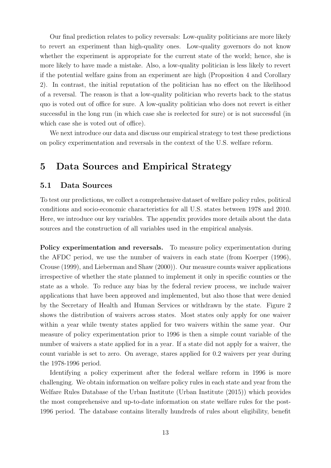Our final prediction relates to policy reversals: Low-quality politicians are more likely to revert an experiment than high-quality ones. Low-quality governors do not know whether the experiment is appropriate for the current state of the world; hence, she is more likely to have made a mistake. Also, a low-quality politician is less likely to revert if the potential welfare gains from an experiment are high (Proposition 4 and Corollary 2). In contrast, the initial reputation of the politician has no effect on the likelihood of a reversal. The reason is that a low-quality politician who reverts back to the status quo is voted out of office for sure. A low-quality politician who does not revert is either successful in the long run (in which case she is reelected for sure) or is not successful (in which case she is voted out of office).

We next introduce our data and discuss our empirical strategy to test these predictions on policy experimentation and reversals in the context of the U.S. welfare reform.

## 5 Data Sources and Empirical Strategy

### 5.1 Data Sources

To test our predictions, we collect a comprehensive dataset of welfare policy rules, political conditions and socio-economic characteristics for all U.S. states between 1978 and 2010. Here, we introduce our key variables. The appendix provides more details about the data sources and the construction of all variables used in the empirical analysis.

Policy experimentation and reversals. To measure policy experimentation during the AFDC period, we use the number of waivers in each state (from Koerper (1996), Crouse (1999), and Lieberman and Shaw (2000)). Our measure counts waiver applications irrespective of whether the state planned to implement it only in specific counties or the state as a whole. To reduce any bias by the federal review process, we include waiver applications that have been approved and implemented, but also those that were denied by the Secretary of Health and Human Services or withdrawn by the state. Figure 2 shows the distribution of waivers across states. Most states only apply for one waiver within a year while twenty states applied for two waivers within the same year. Our measure of policy experimentation prior to 1996 is then a simple count variable of the number of waivers a state applied for in a year. If a state did not apply for a waiver, the count variable is set to zero. On average, stares applied for 0.2 waivers per year during the 1978-1996 period.

Identifying a policy experiment after the federal welfare reform in 1996 is more challenging. We obtain information on welfare policy rules in each state and year from the Welfare Rules Database of the Urban Institute (Urban Institute (2015)) which provides the most comprehensive and up-to-date information on state welfare rules for the post-1996 period. The database contains literally hundreds of rules about eligibility, benefit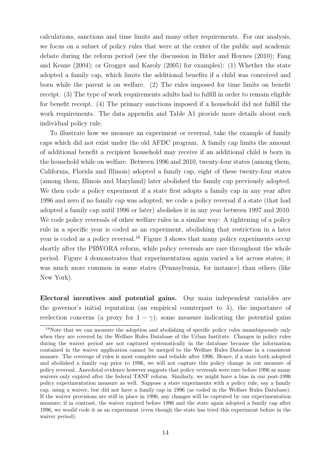calculations, sanctions and time limits and many other requirements. For our analysis, we focus on a subset of policy rules that were at the center of the public and academic debate during the reform period (see the discussion in Bitler and Hoynes (2010); Fang and Keane (2004); or Grogger and Karoly (2005) for examples): (1) Whether the state adopted a family cap, which limits the additional benefits if a child was conceived and born while the parent is on welfare. (2) The rules imposed for time limits on benefit receipt. (3) The type of work requirements adults had to fulfill in order to remain eligible for benefit receipt. (4) The primary sanctions imposed if a household did not fulfill the work requirements. The data appendix and Table A1 provide more details about each individual policy rule.

To illustrate how we measure an experiment or reversal, take the example of family caps which did not exist under the old AFDC program. A family cap limits the amount of additional benefit a recipient household may receive if an additional child is born in the household while on welfare. Between 1996 and 2010, twenty-four states (among them, California, Florida and Illinois) adopted a family cap, eight of these twenty-four states (among them, Illinois and Maryland) later abolished the family cap previously adopted. We then code a policy experiment if a state first adopts a family cap in any year after 1996 and zero if no family cap was adopted; we code a policy reversal if a state (that had adopted a family cap until 1996 or later) abolishes it in any year between 1997 and 2010. We code policy reversals of other welfare rules in a similar way: A tightening of a policy rule in a specific year is coded as an experiment, abolishing that restriction in a later year is coded as a policy reversal.<sup>18</sup> Figure 3 shows that many policy experiments occur shortly after the PRWORA reform, while policy reversals are rare throughout the whole period. Figure 4 demonstrates that experimentation again varied a lot across states; it was much more common in some states (Pennsylvania, for instance) than others (like New York).

Electoral incentives and potential gains. Our main independent variables are the governor's initial reputation (an empirical counterpart to  $\lambda$ ), the importance of reelection concerns (a proxy for  $1 - \gamma$ ); some measure indicating the potential gains

<sup>&</sup>lt;sup>18</sup>Note that we can measure the adoption and abolishing of specific policy rules unambiguously only when they are covered by the Welfare Rules Database of the Urban Institute. Changes in policy rules during the waiver period are not captured systematically in the database because the information contained in the waiver application cannot be merged to the Welfare Rules Database in a consistent manner. The coverage of rules is most complete and reliable after 1996. Hence, if a state both adopted and abolished a family cap prior to 1996, we will not capture this policy change in our measure of policy reversal. Anecdotal evidence however suggests that policy reversals were rare before 1996 as many waivers only expired after the federal TANF reform. Similarly, we might have a bias in our post-1996 policy experimentation measure as well. Suppose a state experiments with a policy rule, say a family cap, using a waiver, but did not have a family cap in 1996 (as coded in the Welfare Rules Database). If the waiver provisions are still in place in 1996, any changes will be captured by our experimentation measure; if in contrast, the waiver expired before 1996 and the state again adopted a family cap after 1996, we would code it as an experiment (even though the state has tried this experiment before in the waiver period).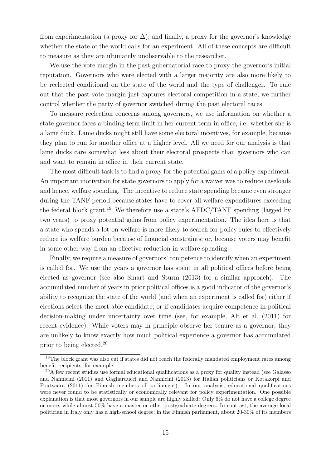from experimentation (a proxy for  $\Delta$ ); and finally, a proxy for the governor's knowledge whether the state of the world calls for an experiment. All of these concepts are difficult to measure as they are ultimately unobservable to the researcher.

We use the vote margin in the past gubernatorial race to proxy the governor's initial reputation. Governors who were elected with a larger majority are also more likely to be reelected conditional on the state of the world and the type of challenger. To rule out that the past vote margin just captures electoral competition in a state, we further control whether the party of governor switched during the past electoral races.

To measure reelection concerns among governors, we use information on whether a state governor faces a binding term limit in her current term in office, i.e. whether she is a lame duck. Lame ducks might still have some electoral incentives, for example, because they plan to run for another office at a higher level. All we need for our analysis is that lame ducks care somewhat less about their electoral prospects than governors who can and want to remain in office in their current state.

The most difficult task is to find a proxy for the potential gains of a policy experiment. An important motivation for state governors to apply for a waiver was to reduce caseloads and hence, welfare spending. The incentive to reduce state spending became even stronger during the TANF period because states have to cover all welfare expenditures exceeding the federal block grant.<sup>19</sup> We therefore use a state's AFDC/TANF spending (lagged by two years) to proxy potential gains from policy experimentation. The idea here is that a state who spends a lot on welfare is more likely to search for policy rules to effectively reduce its welfare burden because of financial constraints; or, because voters may benefit in some other way from an effective reduction in welfare spending.

Finally, we require a measure of governors' competence to identify when an experiment is called for. We use the years a governor has spent in all political offices before being elected as governor (see also Smart and Sturm (2013) for a similar approach). The accumulated number of years in prior political offices is a good indicator of the governor's ability to recognize the state of the world (and when an experiment is called for) either if elections select the most able candidate; or if candidates acquire competence in political decision-making under uncertainty over time (see, for example, Alt et al. (2011) for recent evidence). While voters may in principle observe her tenure as a governor, they are unlikely to know exactly how much political experience a governor has accumulated prior to being elected.<sup>20</sup>

<sup>&</sup>lt;sup>19</sup>The block grant was also cut if states did not reach the federally mandated employment rates among benefit recipients, for example.

 $^{20}$ A few recent studies use formal educational qualifications as a proxy for quality instead (see Galasso) and Nannicini (2011) and Gagliarducci and Nannicini (2013) for Italian politicians or Kotakorpi and Poutvaara (2011) for Finnish members of parliament). In our analysis, educational qualifications were never found to be statistically or economically relevant for policy experimentation. One possible explanation is that most governors in our sample are highly skilled: Only 6% do not have a college degree or more, while almost 50% have a master or other postgraduate degrees. In contrast, the average local politician in Italy only has a high-school degree; in the Finnish parliament, about 20-30% of its members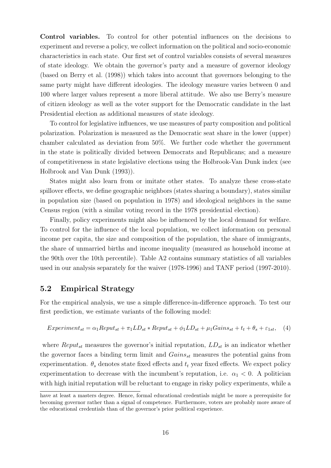Control variables. To control for other potential influences on the decisions to experiment and reverse a policy, we collect information on the political and socio-economic characteristics in each state. Our first set of control variables consists of several measures of state ideology. We obtain the governor's party and a measure of governor ideology (based on Berry et al. (1998)) which takes into account that governors belonging to the same party might have different ideologies. The ideology measure varies between 0 and 100 where larger values represent a more liberal attitude. We also use Berry's measure of citizen ideology as well as the voter support for the Democratic candidate in the last Presidential election as additional measures of state ideology.

To control for legislative influences, we use measures of party composition and political polarization. Polarization is measured as the Democratic seat share in the lower (upper) chamber calculated as deviation from 50%. We further code whether the government in the state is politically divided between Democrats and Republicans; and a measure of competitiveness in state legislative elections using the Holbrook-Van Dunk index (see Holbrook and Van Dunk (1993)).

States might also learn from or imitate other states. To analyze these cross-state spillover effects, we define geographic neighbors (states sharing a boundary), states similar in population size (based on population in 1978) and ideological neighbors in the same Census region (with a similar voting record in the 1978 presidential election).

Finally, policy experiments might also be influenced by the local demand for welfare. To control for the influence of the local population, we collect information on personal income per capita, the size and composition of the population, the share of immigrants, the share of unmarried births and income inequality (measured as household income at the 90th over the 10th percentile). Table A2 contains summary statistics of all variables used in our analysis separately for the waiver (1978-1996) and TANF period (1997-2010).

### 5.2 Empirical Strategy

For the empirical analysis, we use a simple difference-in-difference approach. To test our first prediction, we estimate variants of the following model:

$$
Experiment_{st} = \alpha_1 Republic_{st} + \pi_1 LD_{st} * Republic_{st} + \phi_1 LD_{st} + \mu_1 Gains_{st} + t_t + \theta_s + \varepsilon_{1st}, \quad (4)
$$

where  $Reput_{st}$  measures the governor's initial reputation,  $LD_{st}$  is an indicator whether the governor faces a binding term limit and  $Gains_{st}$  measures the potential gains from experimentation.  $\theta_s$  denotes state fixed effects and  $t_t$  year fixed effects. We expect policy experimentation to decrease with the incumbent's reputation, i.e.  $\alpha_1 < 0$ . A politician with high initial reputation will be reluctant to engage in risky policy experiments, while a

have at least a masters degree. Hence, formal educational credentials might be more a prerequisite for becoming governor rather than a signal of competence. Furthermore, voters are probably more aware of the educational credentials than of the governor's prior political experience.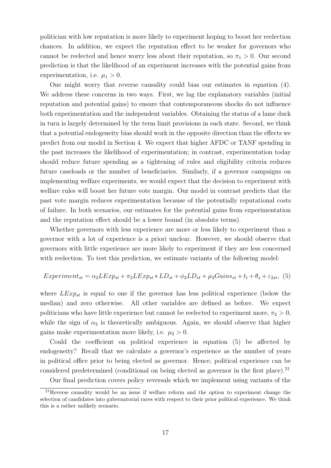politician with low reputation is more likely to experiment hoping to boost her reelection chances. In addition, we expect the reputation effect to be weaker for governors who cannot be reelected and hence worry less about their reputation, so  $\pi_1 > 0$ . Our second prediction is that the likelihood of an experiment increases with the potential gains from experimentation, i.e.  $\mu_1 > 0$ .

One might worry that reverse causality could bias our estimates in equation (4). We address these concerns in two ways. First, we lag the explanatory variables (initial reputation and potential gains) to ensure that contemporaneous shocks do not influence both experimentation and the independent variables. Obtaining the status of a lame duck in turn is largely determined by the term limit provisions in each state. Second, we think that a potential endogeneity bias should work in the opposite direction than the effects we predict from our model in Section 4. We expect that higher AFDC or TANF spending in the past increases the likelihood of experimentation; in contrast, experimentation today should reduce future spending as a tightening of rules and eligibility criteria reduces future caseloads or the number of beneficiaries. Similarly, if a governor campaigns on implementing welfare experiments, we would expect that the decision to experiment with welfare rules will boost her future vote margin. Our model in contrast predicts that the past vote margin reduces experimentation because of the potentially reputational costs of failure. In both scenarios, our estimates for the potential gains from experimentation and the reputation effect should be a lower bound (in absolute terms).

Whether governors with less experience are more or less likely to experiment than a governor with a lot of experience is a priori unclear. However, we should observe that governors with little experience are more likely to experiment if they are less concerned with reelection. To test this prediction, we estimate variants of the following model:

$$
Experiment_{st} = \alpha_2 L Exp_{st} + \pi_2 L Exp_{st} * LD_{st} + \phi_2 LD_{st} + \mu_2 Gains_{st} + t_t + \theta_s + \varepsilon_{2st},
$$
 (5)

where  $LExp_{st}$  is equal to one if the governor has less political experience (below the median) and zero otherwise. All other variables are defined as before. We expect politicians who have little experience but cannot be reelected to experiment more,  $\pi_2 > 0$ , while the sign of  $\alpha_2$  is theoretically ambiguous. Again, we should observe that higher gains make experimentation more likely, i.e.  $\mu_2 > 0$ .

Could the coefficient on political experience in equation (5) be affected by endogeneity? Recall that we calculate a governor's experience as the number of years in political office prior to being elected as governor. Hence, political experience can be considered predetermined (conditional on being elected as governor in the first place). $^{21}$ 

Our final prediction covers policy reversals which we implement using variants of the

 $^{21}$ Reverse causality would be an issue if welfare reform and the option to experiment change the selection of candidates into gubernatorial races with respect to their prior political experience. We think this is a rather unlikely scenario.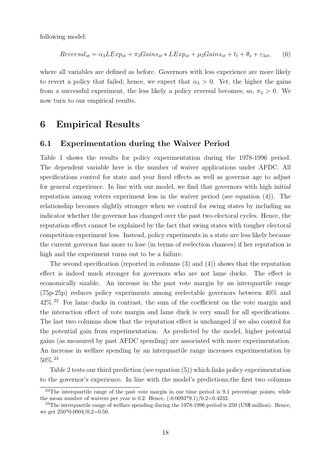following model:

$$
Reversal_{st} = \alpha_3 L Exp_{st} + \pi_3 Gains_{st} * L Exp_{st} + \mu_3 Gains_{st} + t_t + \theta_s + \varepsilon_{3st},
$$
 (6)

where all variables are defined as before. Governors with less experience are more likely to revert a policy that failed; hence, we expect that  $\alpha_3 > 0$ . Yet, the higher the gains from a successful experiment, the less likely a policy reversal becomes; so,  $\pi_3 > 0$ . We now turn to our empirical results.

## 6 Empirical Results

#### 6.1 Experimentation during the Waiver Period

Table 1 shows the results for policy experimentation during the 1978-1996 period. The dependent variable here is the number of waiver applications under AFDC. All specifications control for state and year fixed effects as well as governor age to adjust for general experience. In line with our model, we find that governors with high initial reputation among voters experiment less in the waiver period (see equation (4)). The relationship becomes slightly stronger when we control for swing states by including an indicator whether the governor has changed over the past two electoral cycles. Hence, the reputation effect cannot be explained by the fact that swing states with tougher electoral competition experiment less. Instead, policy experiments in a state are less likely because the current governor has more to lose (in terms of reelection chances) if her reputation is high and the experiment turns out to be a failure.

The second specification (reported in columns (3) and (4)) shows that the reputation effect is indeed much stronger for governors who are not lame ducks. The effect is economically sizable. An increase in the past vote margin by an interquartile range (75p-25p) reduces policy experiments among reelectable governors between 40% and 42%.<sup>22</sup> For lame ducks in contrast, the sum of the coefficient on the vote margin and the interaction effect of vote margin and lame duck is very small for all specifications. The last two columns show that the reputation effect is unchanged if we also control for the potential gain from experimentation. As predicted by the model, higher potential gains (as measured by past AFDC spending) are associated with more experimentation. An increase in welfare spending by an interquartile range increases experimentation by 50%.<sup>23</sup>

Table 2 tests our third prediction (see equation (5)) which links policy experimentation to the governor's experience. In line with the model's predictions,the first two columns

<sup>&</sup>lt;sup>22</sup>The interquartile range of the past vote margin in our time period is 9.1 percentage points, while the mean number of waivers per year is 0.2. Hence,  $(-0.0093*9.1)/0.2=0.4232$ .

 $^{23}$ The interquartile range of welfare spending during the 1978-1996 period is 250 (US\$ million). Hence, we get  $250*0.0004/0.2=0.50$ .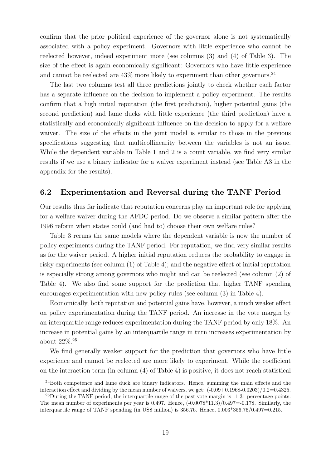confirm that the prior political experience of the governor alone is not systematically associated with a policy experiment. Governors with little experience who cannot be reelected however, indeed experiment more (see columns (3) and (4) of Table 3). The size of the effect is again economically significant: Governors who have little experience and cannot be reelected are  $43\%$  more likely to experiment than other governors.<sup>24</sup>

The last two columns test all three predictions jointly to check whether each factor has a separate influence on the decision to implement a policy experiment. The results confirm that a high initial reputation (the first prediction), higher potential gains (the second prediction) and lame ducks with little experience (the third prediction) have a statistically and economically significant influence on the decision to apply for a welfare waiver. The size of the effects in the joint model is similar to those in the previous specifications suggesting that multicollinearity between the variables is not an issue. While the dependent variable in Table 1 and 2 is a count variable, we find very similar results if we use a binary indicator for a waiver experiment instead (see Table A3 in the appendix for the results).

### 6.2 Experimentation and Reversal during the TANF Period

Our results thus far indicate that reputation concerns play an important role for applying for a welfare waiver during the AFDC period. Do we observe a similar pattern after the 1996 reform when states could (and had to) choose their own welfare rules?

Table 3 reruns the same models where the dependent variable is now the number of policy experiments during the TANF period. For reputation, we find very similar results as for the waiver period. A higher initial reputation reduces the probability to engage in risky experiments (see column (1) of Table 4); and the negative effect of initial reputation is especially strong among governors who might and can be reelected (see column (2) of Table 4). We also find some support for the prediction that higher TANF spending encourages experimentation with new policy rules (see column (3) in Table 4).

Economically, both reputation and potential gains have, however, a much weaker effect on policy experimentation during the TANF period. An increase in the vote margin by an interquartile range reduces experimentation during the TANF period by only 18%. An increase in potential gains by an interquartile range in turn increases experimentation by about 22%.<sup>25</sup>

We find generally weaker support for the prediction that governors who have little experience and cannot be reelected are more likely to experiment. While the coefficient on the interaction term (in column (4) of Table 4) is positive, it does not reach statistical

<sup>&</sup>lt;sup>24</sup>Both competence and lame duck are binary indicators. Hence, summing the main effects and the interaction effect and dividing by the mean number of waivers, we get:  $(-0.09+0.1968-0.0203)/0.2=0.4325$ .

 $^{25}$ During the TANF period, the interquartile range of the past vote margin is 11.31 percentage points. The mean number of experiments per year is 0.497. Hence,  $(-0.0078*11.3)/0.497=0.178$ . Similarly, the interquartile range of TANF spending (in US\$ million) is 356.76. Hence, 0.003\*356.76/0.497=0.215.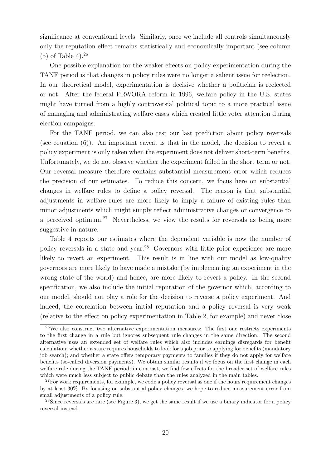significance at conventional levels. Similarly, once we include all controls simultaneously only the reputation effect remains statistically and economically important (see column  $(5)$  of Table 4).<sup>26</sup>

One possible explanation for the weaker effects on policy experimentation during the TANF period is that changes in policy rules were no longer a salient issue for reelection. In our theoretical model, experimentation is decisive whether a politician is reelected or not. After the federal PRWORA reform in 1996, welfare policy in the U.S. states might have turned from a highly controversial political topic to a more practical issue of managing and administrating welfare cases which created little voter attention during election campaigns.

For the TANF period, we can also test our last prediction about policy reversals (see equation (6)). An important caveat is that in the model, the decision to revert a policy experiment is only taken when the experiment does not deliver short-term benefits. Unfortunately, we do not observe whether the experiment failed in the short term or not. Our reversal measure therefore contains substantial measurement error which reduces the precision of our estimates. To reduce this concern, we focus here on substantial changes in welfare rules to define a policy reversal. The reason is that substantial adjustments in welfare rules are more likely to imply a failure of existing rules than minor adjustments which might simply reflect administrative changes or convergence to a perceived optimum.<sup>27</sup> Nevertheless, we view the results for reversals as being more suggestive in nature.

Table 4 reports our estimates where the dependent variable is now the number of policy reversals in a state and year.<sup>28</sup> Governors with little prior experience are more likely to revert an experiment. This result is in line with our model as low-quality governors are more likely to have made a mistake (by implementing an experiment in the wrong state of the world) and hence, are more likely to revert a policy. In the second specification, we also include the initial reputation of the governor which, according to our model, should not play a role for the decision to reverse a policy experiment. And indeed, the correlation between initial reputation and a policy reversal is very weak (relative to the effect on policy experimentation in Table 2, for example) and never close

<sup>26</sup>We also construct two alternative experimentation measures: The first one restricts experiments to the first change in a rule but ignores subsequent rule changes in the same direction. The second alternative uses an extended set of welfare rules which also includes earnings disregards for benefit calculation; whether a state requires households to look for a job prior to applying for benefits (mandatory job search); and whether a state offers temporary payments to families if they do not apply for welfare benefits (so-called diversion payments). We obtain similar results if we focus on the first change in each welfare rule during the TANF period; in contrast, we find few effects for the broader set of welfare rules which were much less subject to public debate than the rules analyzed in the main tables.

<sup>&</sup>lt;sup>27</sup>For work requirements, for example, we code a policy reversal as one if the hours requirement changes by at least 30%. By focusing on substantial policy changes, we hope to reduce measurement error from small adjustments of a policy rule.

<sup>&</sup>lt;sup>28</sup>Since reversals are rare (see Figure 3), we get the same result if we use a binary indicator for a policy reversal instead.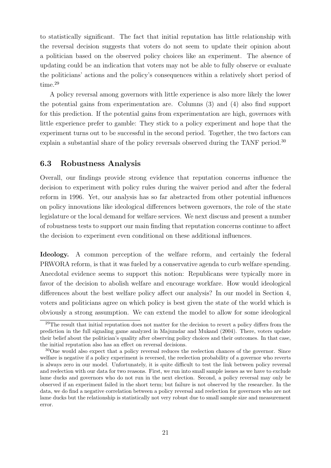to statistically significant. The fact that initial reputation has little relationship with the reversal decision suggests that voters do not seem to update their opinion about a politician based on the observed policy choices like an experiment. The absence of updating could be an indication that voters may not be able to fully observe or evaluate the politicians' actions and the policy's consequences within a relatively short period of time.<sup>29</sup>

A policy reversal among governors with little experience is also more likely the lower the potential gains from experimentation are. Columns (3) and (4) also find support for this prediction. If the potential gains from experimentation are high, governors with little experience prefer to gamble: They stick to a policy experiment and hope that the experiment turns out to be successful in the second period. Together, the two factors can explain a substantial share of the policy reversals observed during the TANF period.<sup>30</sup>

### 6.3 Robustness Analysis

Overall, our findings provide strong evidence that reputation concerns influence the decision to experiment with policy rules during the waiver period and after the federal reform in 1996. Yet, our analysis has so far abstracted from other potential influences on policy innovations like ideological differences between governors, the role of the state legislature or the local demand for welfare services. We next discuss and present a number of robustness tests to support our main finding that reputation concerns continue to affect the decision to experiment even conditional on these additional influences.

Ideology. A common perception of the welfare reform, and certainly the federal PRWORA reform, is that it was fueled by a conservative agenda to curb welfare spending. Anecdotal evidence seems to support this notion: Republicans were typically more in favor of the decision to abolish welfare and encourage workfare. How would ideological differences about the best welfare policy affect our analysis? In our model in Section 4, voters and politicians agree on which policy is best given the state of the world which is obviously a strong assumption. We can extend the model to allow for some ideological

 $29$ The result that initial reputation does not matter for the decision to revert a policy differs from the prediction in the full signaling game analyzed in Majumdar and Mukand (2004). There, voters update their belief about the politician's quality after observing policy choices and their outcomes. In that case, the initial reputation also has an effect on reversal decisions.

<sup>30</sup>One would also expect that a policy reversal reduces the reelection chances of the governor. Since welfare is negative if a policy experiment is reversed, the reelection probability of a governor who reverts is always zero in our model. Unfortunately, it is quite difficult to test the link between policy reversal and reelection with our data for two reasons. First, we run into small sample issues as we have to exclude lame ducks and governors who do not run in the next election. Second, a policy reversal may only be observed if an experiment failed in the short term; but failure is not observed by the researcher. In the data, we do find a negative correlation between a policy reversal and reelection for governors who are not lame ducks but the relationship is statistically not very robust due to small sample size and measurement error.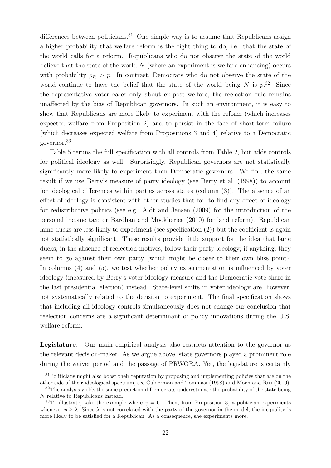differences between politicians.<sup>31</sup> One simple way is to assume that Republicans assign a higher probability that welfare reform is the right thing to do, i.e. that the state of the world calls for a reform. Republicans who do not observe the state of the world believe that the state of the world  $N$  (where an experiment is welfare-enhancing) occurs with probability  $p_R > p$ . In contrast, Democrats who do not observe the state of the world continue to have the belief that the state of the world being N is  $p^{32}$ . Since the representative voter cares only about ex-post welfare, the reelection rule remains unaffected by the bias of Republican governors. In such an environment, it is easy to show that Republicans are more likely to experiment with the reform (which increases expected welfare from Proposition 2) and to persist in the face of short-term failure (which decreases expected welfare from Propositions 3 and 4) relative to a Democratic governor.<sup>33</sup>

Table 5 reruns the full specification with all controls from Table 2, but adds controls for political ideology as well. Surprisingly, Republican governors are not statistically significantly more likely to experiment than Democratic governors. We find the same result if we use Berry's measure of party ideology (see Berry et al. (1998)) to account for ideological differences within parties across states (column (3)). The absence of an effect of ideology is consistent with other studies that fail to find any effect of ideology for redistributive politics (see e.g. Aidt and Jensen (2009) for the introduction of the personal income tax; or Bardhan and Mookherjee (2010) for land reform). Republican lame ducks are less likely to experiment (see specification (2)) but the coefficient is again not statistically significant. These results provide little support for the idea that lame ducks, in the absence of reelection motives, follow their party ideology; if anything, they seem to go against their own party (which might be closer to their own bliss point). In columns (4) and (5), we test whether policy experimentation is influenced by voter ideology (measured by Berry's voter ideology measure and the Democratic vote share in the last presidential election) instead. State-level shifts in voter ideology are, however, not systematically related to the decision to experiment. The final specification shows that including all ideology controls simultaneously does not change our conclusion that reelection concerns are a significant determinant of policy innovations during the U.S. welfare reform.

Legislature. Our main empirical analysis also restricts attention to the governor as the relevant decision-maker. As we argue above, state governors played a prominent role during the waiver period and the passage of PRWORA. Yet, the legislature is certainly

<sup>&</sup>lt;sup>31</sup>Politicians might also boost their reputation by proposing and implementing policies that are on the other side of their ideological spectrum, see Cukierman and Tommasi (1998) and Moen and Riis (2010).

<sup>&</sup>lt;sup>32</sup>The analysis yields the same prediction if Democrats underestimate the probability of the state being N relative to Republicans instead.

<sup>&</sup>lt;sup>33</sup>To illustrate, take the example where  $\gamma = 0$ . Then, from Proposition 3, a politician experiments whenever  $p \geq \lambda$ . Since  $\lambda$  is not correlated with the party of the governor in the model, the inequality is more likely to be satisfied for a Republican. As a consequence, she experiments more.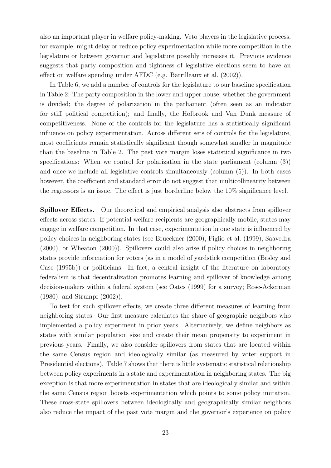also an important player in welfare policy-making. Veto players in the legislative process, for example, might delay or reduce policy experimentation while more competition in the legislature or between governor and legislature possibly increases it. Previous evidence suggests that party composition and tightness of legislative elections seem to have an effect on welfare spending under AFDC (e.g. Barrilleaux et al. (2002)).

In Table 6, we add a number of controls for the legislature to our baseline specification in Table 2: The party composition in the lower and upper house; whether the government is divided; the degree of polarization in the parliament (often seen as an indicator for stiff political competition); and finally, the Holbrook and Van Dunk measure of competitiveness. None of the controls for the legislature has a statistically significant influence on policy experimentation. Across different sets of controls for the legislature, most coefficients remain statistically significant though somewhat smaller in magnitude than the baseline in Table 2. The past vote margin loses statistical significance in two specifications: When we control for polarization in the state parliament (column (3)) and once we include all legislative controls simultaneously (column (5)). In both cases however, the coefficient and standard error do not suggest that multicollinearity between the regressors is an issue. The effect is just borderline below the 10% significance level.

Spillover Effects. Our theoretical and empirical analysis also abstracts from spillover effects across states. If potential welfare recipients are geographically mobile, states may engage in welfare competition. In that case, experimentation in one state is influenced by policy choices in neighboring states (see Brueckner (2000), Figlio et al. (1999), Saavedra (2000), or Wheaton (2000)). Spillovers could also arise if policy choices in neighboring states provide information for voters (as in a model of yardstick competition (Besley and Case (1995b)) or politicians. In fact, a central insight of the literature on laboratory federalism is that decentralization promotes learning and spillover of knowledge among decision-makers within a federal system (see Oates (1999) for a survey; Rose-Ackerman (1980); and Strumpf (2002)).

To test for such spillover effects, we create three different measures of learning from neighboring states. Our first measure calculates the share of geographic neighbors who implemented a policy experiment in prior years. Alternatively, we define neighbors as states with similar population size and create their mean propensity to experiment in previous years. Finally, we also consider spillovers from states that are located within the same Census region and ideologically similar (as measured by voter support in Presidential elections). Table 7 shows that there is little systematic statistical relationship between policy experiments in a state and experimentation in neighboring states. The big exception is that more experimentation in states that are ideologically similar and within the same Census region boosts experimentation which points to some policy imitation. These cross-state spillovers between ideologically and geographically similar neighbors also reduce the impact of the past vote margin and the governor's experience on policy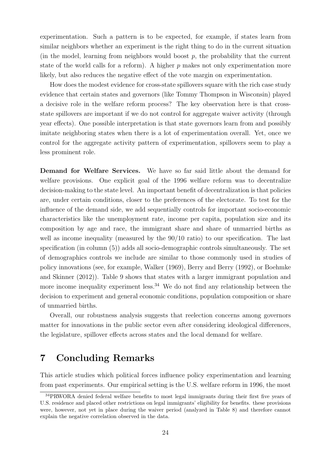experimentation. Such a pattern is to be expected, for example, if states learn from similar neighbors whether an experiment is the right thing to do in the current situation (in the model, learning from neighbors would boost  $p$ , the probability that the current state of the world calls for a reform). A higher  $p$  makes not only experimentation more likely, but also reduces the negative effect of the vote margin on experimentation.

How does the modest evidence for cross-state spillovers square with the rich case study evidence that certain states and governors (like Tommy Thompson in Wisconsin) played a decisive role in the welfare reform process? The key observation here is that crossstate spillovers are important if we do not control for aggregate waiver activity (through year effects). One possible interpretation is that state governors learn from and possibly imitate neighboring states when there is a lot of experimentation overall. Yet, once we control for the aggregate activity pattern of experimentation, spillovers seem to play a less prominent role.

Demand for Welfare Services. We have so far said little about the demand for welfare provisions. One explicit goal of the 1996 welfare reform was to decentralize decision-making to the state level. An important benefit of decentralization is that policies are, under certain conditions, closer to the preferences of the electorate. To test for the influence of the demand side, we add sequentially controls for important socio-economic characteristics like the unemployment rate, income per capita, population size and its composition by age and race, the immigrant share and share of unmarried births as well as income inequality (measured by the  $90/10$  ratio) to our specification. The last specification (in column (5)) adds all socio-demographic controls simultaneously. The set of demographics controls we include are similar to those commonly used in studies of policy innovations (see, for example, Walker (1969), Berry and Berry (1992), or Boehmke and Skinner (2012)). Table 9 shows that states with a larger immigrant population and more income inequality experiment less.<sup>34</sup> We do not find any relationship between the decision to experiment and general economic conditions, population composition or share of unmarried births.

Overall, our robustness analysis suggests that reelection concerns among governors matter for innovations in the public sector even after considering ideological differences, the legislature, spillover effects across states and the local demand for welfare.

## 7 Concluding Remarks

This article studies which political forces influence policy experimentation and learning from past experiments. Our empirical setting is the U.S. welfare reform in 1996, the most

<sup>34</sup>PRWORA denied federal welfare benefits to most legal immigrants during their first five years of U.S. residence and placed other restrictions on legal immigrants' eligibility for benefits. these provisions were, however, not yet in place during the waiver period (analyzed in Table 8) and therefore cannot explain the negative correlation observed in the data.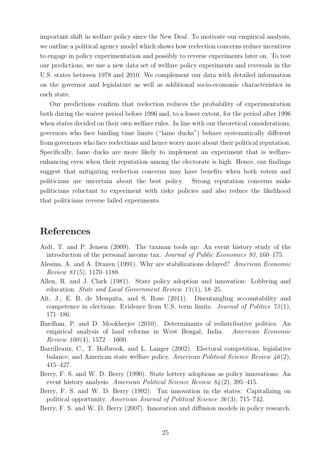important shift in welfare policy since the New Deal. To motivate our empirical analysis, we outline a political agency model which shows how reelection concerns reduce incentives to engage in policy experimentation and possibly to reverse experiments later on. To test our predictions, we use a new data set of welfare policy experiments and reversals in the U.S. states between 1978 and 2010. We complement our data with detailed information on the governor and legislature as well as additional socio-economic characteristics in each state.

Our predictions confirm that reelection reduces the probability of experimentation both during the waiver period before 1996 and, to a lesser extent, for the period after 1996 when states decided on their own welfare rules. In line with our theoretical considerations, governors who face binding time limits ("lame ducks") behave systematically different from governors who face reelections and hence worry more about their political reputation. Specifically, lame ducks are more likely to implement an experiment that is welfareenhancing even when their reputation among the electorate is high. Hence, our findings suggest that mitigating reelection concerns may have benefits when both voters and politicians are uncertain about the best policy. Strong reputation concerns make politicians reluctant to experiment with risky policies and also reduce the likelihood that politicians reverse failed experiments.

## References

- Aidt, T. and P. Jensen (2009). The taxman tools up: An event history study of the introduction of the personal income tax. Journal of Public Economics 93, 160–175.
- Alesina, A. and A. Drazen (1991). Why are stabilizations delayed? American Economic Review  $81(5)$ , 1170–1188.
- Allen, R. and J. Clark (1981). State policy adoption and innovation: Lobbying and education. State and Local Government Review 13 (1), 18–25.
- Alt, J., E. B. de Mesquita, and S. Rose (2011). Disentangling accountability and competence in elections: Evidence from U.S. term limits. Journal of Politics  $73(1)$ , 171–186.
- Bardhan, P. and D. Mookherjee (2010). Determinants of redistributive politics: An empirical analysis of land reforms in West Bengal, India. American Economic Review  $100(4)$ ,  $1572 - 1600$ .
- Barrilleaux, C., T. Holbrook, and L. Langer (2002). Electoral competition, legislative balance, and American state welfare policy. American Political Science Review  $46(2)$ , 415–427.
- Berry, F. S. and W. D. Berry (1990). State lottery adoptions as policy innovations: An event history analysis. American Political Science Review  $84(2)$ , 395–415.
- Berry, F. S. and W. D. Berry (1992). Tax innovation in the states: Capitalizing on political opportunity. American Journal of Political Science 36 (3), 715–742.
- Berry, F. S. and W. D. Berry (2007). Innovation and diffusion models in policy research.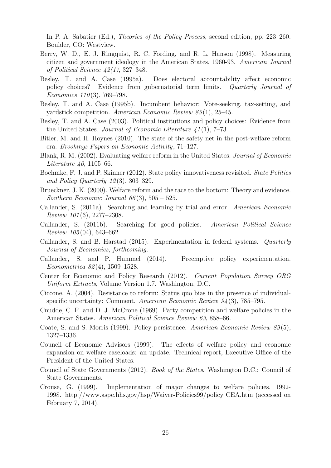In P. A. Sabatier (Ed.), Theories of the Policy Process, second edition, pp. 223–260. Boulder, CO: Westview.

- Berry, W. D., E. J. Ringquist, R. C. Fording, and R. L. Hanson (1998). Measuring citizen and government ideology in the American States, 1960-93. American Journal of Political Science  $42(1)$ , 327–348.
- Besley, T. and A. Case (1995a). Does electoral accountability affect economic policy choices? Evidence from gubernatorial term limits. Quarterly Journal of Economics  $110(3)$ , 769–798.
- Besley, T. and A. Case (1995b). Incumbent behavior: Vote-seeking, tax-setting, and yardstick competition. American Economic Review 85(1), 25–45.
- Besley, T. and A. Case (2003). Political institutions and policy choices: Evidence from the United States. Journal of Economic Literature  $41(1)$ , 7–73.
- Bitler, M. and H. Hoynes (2010). The state of the safety net in the post-welfare reform era. Brookings Papers on Economic Activity, 71–127.
- Blank, R. M. (2002). Evaluating welfare reform in the United States. Journal of Economic Literature 40, 1105–66.
- Boehmke, F. J. and P. Skinner (2012). State policy innovativeness revisited. State Politics and Policy Quarterly 12 (3), 303–329.
- Brueckner, J. K. (2000). Welfare reform and the race to the bottom: Theory and evidence. Southern Economic Journal  $66(3)$ ,  $505 - 525$ .
- Callander, S. (2011a). Searching and learning by trial and error. American Economic Review  $101(6)$ , 2277–2308.
- Callander, S. (2011b). Searching for good policies. American Political Science Review  $105(04)$ , 643–662.
- Callander, S. and B. Harstad (2015). Experimentation in federal systems. Quarterly Journal of Economics, forthcoming.
- Callander, S. and P. Hummel (2014). Preemptive policy experimentation. Econometrica 82 (4), 1509–1528.
- Center for Economic and Policy Research (2012). Current Population Survey ORG Uniform Extracts, Volume Version 1.7. Washington, D.C.
- Ciccone, A. (2004). Resistance to reform: Status quo bias in the presence of individualspecific uncertainty: Comment. American Economic Review  $94(3)$ , 785–795.
- Cnudde, C. F. and D. J. McCrone (1969). Party competition and welfare policies in the American States. American Political Science Review 63, 858–66.
- Coate, S. and S. Morris (1999). Policy persistence. American Economic Review 89 (5), 1327–1336.
- Council of Economic Advisors (1999). The effects of welfare policy and economic expansion on welfare caseloads: an update. Technical report, Executive Office of the President of the United States.
- Council of State Governments (2012). Book of the States. Washington D.C.: Council of State Governments.
- Crouse, G. (1999). Implementation of major changes to welfare policies, 1992- 1998. http://www.aspe.hhs.gov/hsp/Waiver-Policies99/policy CEA.htm (accessed on February 7, 2014).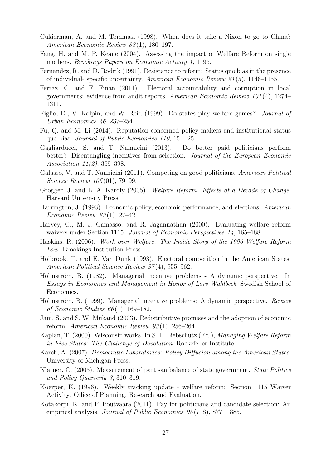- Cukierman, A. and M. Tommasi (1998). When does it take a Nixon to go to China? American Economic Review 88 (1), 180–197.
- Fang, H. and M. P. Keane (2004). Assessing the impact of Welfare Reform on single mothers. Brookings Papers on Economic Activity 1, 1–95.
- Fernandez, R. and D. Rodrik (1991). Resistance to reform: Status quo bias in the presence of individual- specific uncertainty. American Economic Review 81 (5), 1146–1155.
- Ferraz, C. and F. Finan (2011). Electoral accountability and corruption in local governments: evidence from audit reports. American Economic Review 101 (4), 1274– 1311.
- Figlio, D., V. Kolpin, and W. Reid (1999). Do states play welfare games? Journal of Urban Economics 46, 237–254.
- Fu, Q. and M. Li (2014). Reputation-concerned policy makers and institutional status quo bias. Journal of Public Economics  $110$ ,  $15 - 25$ .
- Gagliarducci, S. and T. Nannicini (2013). Do better paid politicians perform better? Disentangling incentives from selection. Journal of the European Economic Association 11(2), 369–398.
- Galasso, V. and T. Nannicini (2011). Competing on good politicians. American Political Science Review 105 (01), 79–99.
- Grogger, J. and L. A. Karoly (2005). Welfare Reform: Effects of a Decade of Change. Harvard University Press.
- Harrington, J. (1993). Economic policy, economic performance, and elections. American Economic Review  $83(1)$ , 27-42.
- Harvey, C., M. J. Camasso, and R. Jagannathan (2000). Evaluating welfare reform waivers under Section 1115. Journal of Economic Perspectives 14, 165–188.
- Haskins, R. (2006). Work over Welfare: The Inside Story of the 1996 Welfare Reform Law. Brookings Institution Press.
- Holbrook, T. and E. Van Dunk (1993). Electoral competition in the American States. American Political Science Review 87(4), 955–962.
- Holmström, B. (1982). Managerial incentive problems A dynamic perspective. In Essays in Economics and Management in Honor of Lars Wahlbeck. Swedish School of Economics.
- Holmström, B. (1999). Managerial incentive problems: A dynamic perspective. Review of Economic Studies  $66(1)$ , 169–182.
- Jain, S. and S. W. Mukand (2003). Redistributive promises and the adoption of economic reform. American Economic Review 93 (1), 256–264.
- Kaplan, T. (2000). Wisconsin works. In S. F. Liebschutz (Ed.), Managing Welfare Reform in Five States: The Challenge of Devolution. Rockefeller Institute.
- Karch, A. (2007). Democratic Laboratories: Policy Diffusion among the American States. University of Michigan Press.
- Klarner, C. (2003). Measurement of partisan balance of state government. State Politics and Policy Quarterly 3, 310–319.
- Koerper, K. (1996). Weekly tracking update welfare reform: Section 1115 Waiver Activity. Office of Planning, Research and Evaluation.
- Kotakorpi, K. and P. Poutvaara (2011). Pay for politicians and candidate selection: An empirical analysis. Journal of Public Economics  $95(7-8)$ ,  $877 - 885$ .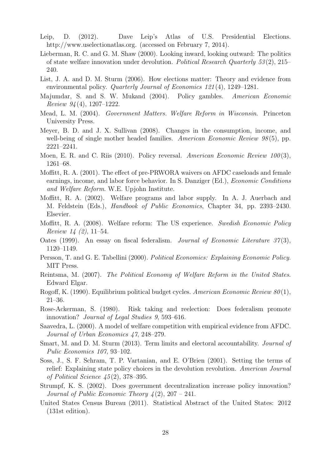- Leip, D. (2012). Dave Leip's Atlas of U.S. Presidential Elections. http://www.uselectionatlas.org. (accessed on February 7, 2014).
- Lieberman, R. C. and G. M. Shaw (2000). Looking inward, looking outward: The politics of state welfare innovation under devolution. Political Research Quarterly  $53(2)$ ,  $215-$ 240.
- List, J. A. and D. M. Sturm (2006). How elections matter: Theory and evidence from environmental policy. Quarterly Journal of Economics 121 (4), 1249–1281.
- Majumdar, S. and S. W. Mukand (2004). Policy gambles. American Economic *Review 94* (4), 1207–1222.
- Mead, L. M. (2004). Government Matters. Welfare Reform in Wisconsin. Princeton University Press.
- Meyer, B. D. and J. X. Sullivan (2008). Changes in the consumption, income, and well-being of single mother headed families. American Economic Review 98(5), pp. 2221–2241.
- Moen, E. R. and C. Riis (2010). Policy reversal. American Economic Review 100(3), 1261–68.
- Moffitt, R. A. (2001). The effect of pre-PRWORA waivers on AFDC caseloads and female earnings, income, and labor force behavior. In S. Danziger (Ed.), Economic Conditions and Welfare Reform. W.E. Upjohn Institute.
- Moffitt, R. A. (2002). Welfare programs and labor supply. In A. J. Auerbach and M. Feldstein (Eds.), Handbook of Public Economics, Chapter 34, pp. 2393–2430. Elsevier.
- Moffitt, R. A. (2008). Welfare reform: The US experience. Swedish Economic Policy Review 14 (2), 11–54.
- Oates (1999). An essay on fiscal federalism. Journal of Economic Literature  $37(3)$ , 1120–1149.
- Persson, T. and G. E. Tabellini (2000). Political Economics: Explaining Economic Policy. MIT Press.
- Reintsma, M. (2007). The Political Economy of Welfare Reform in the United States. Edward Elgar.
- Rogoff, K. (1990). Equilibrium political budget cycles. American Economic Review 80 (1), 21–36.
- Rose-Ackerman, S. (1980). Risk taking and reelection: Does federalism promote innovation? Journal of Legal Studies 9, 593–616.
- Saavedra, L. (2000). A model of welfare competition with empirical evidence from AFDC. Journal of Urban Economics 47, 248–279.
- Smart, M. and D. M. Sturm (2013). Term limits and electoral accountability. Journal of Pulic Economics 107, 93–102.
- Soss, J., S. F. Schram, T. P. Vartanian, and E. O'Brien (2001). Setting the terms of relief: Explaining state policy choices in the devolution revolution. American Journal of Political Science  $45(2)$ , 378–395.
- Strumpf, K. S. (2002). Does government decentralization increase policy innovation? Journal of Public Economic Theory  $\frac{1}{2}(2), 207 - 241$ .
- United States Census Bureau (2011). Statistical Abstract of the United States: 2012 (131st edition).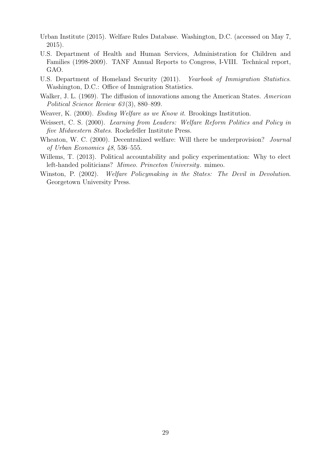- Urban Institute (2015). Welfare Rules Database. Washington, D.C. (accessed on May 7, 2015).
- U.S. Department of Health and Human Services, Administration for Children and Families (1998-2009). TANF Annual Reports to Congress, I-VIII. Technical report, GAO.
- U.S. Department of Homeland Security (2011). Yearbook of Immigration Statistics. Washington, D.C.: Office of Immigration Statistics.
- Walker, J. L. (1969). The diffusion of innovations among the American States. American Political Science Review 63(3), 880–899.
- Weaver, K. (2000). Ending Welfare as we Know it. Brookings Institution.
- Weissert, C. S. (2000). Learning from Leaders: Welfare Reform Politics and Policy in five Midwestern States. Rockefeller Institute Press.
- Wheaton, W. C. (2000). Decentralized welfare: Will there be underprovision? Journal of Urban Economics 48, 536–555.
- Willems, T. (2013). Political accountability and policy experimentation: Why to elect left-handed politicians? Mimeo. Princeton University. mimeo.
- Winston, P. (2002). Welfare Policymaking in the States: The Devil in Devolution. Georgetown University Press.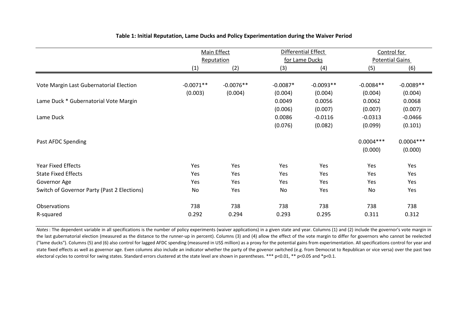|                                             |             | Main Effect |            | Differential Effect |             | Control for            |
|---------------------------------------------|-------------|-------------|------------|---------------------|-------------|------------------------|
|                                             | Reputation  |             |            | for Lame Ducks      |             | <b>Potential Gains</b> |
|                                             | (1)         | (2)         | (3)        | (4)                 | (5)         | (6)                    |
|                                             |             |             |            |                     |             |                        |
| Vote Margin Last Gubernatorial Election     | $-0.0071**$ | $-0.0076**$ | $-0.0087*$ | $-0.0093**$         | $-0.0084**$ | $-0.0089**$            |
|                                             | (0.003)     | (0.004)     | (0.004)    | (0.004)             | (0.004)     | (0.004)                |
| Lame Duck * Gubernatorial Vote Margin       |             |             | 0.0049     | 0.0056              | 0.0062      | 0.0068                 |
|                                             |             |             | (0.006)    | (0.007)             | (0.007)     | (0.007)                |
| Lame Duck                                   |             |             | 0.0086     | $-0.0116$           | $-0.0313$   | $-0.0466$              |
|                                             |             |             | (0.076)    | (0.082)             | (0.099)     | (0.101)                |
| Past AFDC Spending                          |             |             |            |                     | $0.0004***$ | $0.0004***$            |
|                                             |             |             |            |                     | (0.000)     | (0.000)                |
| <b>Year Fixed Effects</b>                   | Yes         | Yes         | Yes        | Yes                 | Yes         | Yes                    |
| <b>State Fixed Effects</b>                  | Yes         | Yes         | Yes        | Yes                 | Yes         | Yes                    |
| Governor Age                                | Yes         | Yes         | Yes        | Yes                 | Yes         | Yes                    |
| Switch of Governor Party (Past 2 Elections) | No          | Yes         | No         | Yes                 | No          | Yes                    |
| <b>Observations</b>                         | 738         | 738         | 738        | 738                 | 738         | 738                    |
| R-squared                                   | 0.292       | 0.294       | 0.293      | 0.295               | 0.311       | 0.312                  |

#### **Table 1: Initial Reputation, Lame Ducks and Policy Experimentation during the Waiver Period**

*Notes*: The dependent variable in all specifications is the number of policy experiments (waiver applications) in a given state and year. Columns (1) and (2) include the governor's vote margin in the last gubernatorial election (measured as the distance to the runner-up in percent). Columns (3) and (4) allow the effect of the vote margin to differ for governors who cannot be reelected ("lame ducks"). Columns (5) and (6) also control for lagged AFDC spending (measured in US\$ million) as a proxy for the potential gains from experimentation. All specifications control for year and state fixed effects as well as governor age. Even columns also include an indicator whether the party of the govenor switched (e.g. from Democrat to Republican or vice versa) over the past two electoral cycles to control for swing states. Standard errors clustered at the state level are shown in parentheses. \*\*\* p<0.01, \*\* p<0.05 and \*p<0.1.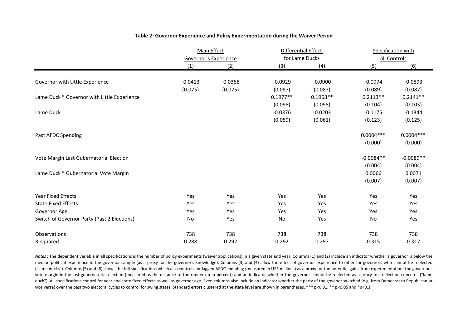|                                             | <b>Main Effect</b> |                              | Differential Effect |                | Specification with |              |
|---------------------------------------------|--------------------|------------------------------|---------------------|----------------|--------------------|--------------|
|                                             |                    | <b>Governor's Experience</b> |                     | for Lame Ducks |                    | all Controls |
|                                             | (1)                | (2)                          | (3)                 | (4)            | (5)                | (6)          |
|                                             |                    |                              |                     |                |                    |              |
| Governor with Little Experience             | $-0.0413$          | $-0.0368$                    | $-0.0929$           | $-0.0900$      | $-0.0974$          | $-0.0893$    |
|                                             | (0.075)            | (0.075)                      | (0.087)             | (0.087)        | (0.089)            | (0.087)      |
| Lame Duck * Governor with Little Experience |                    |                              | $0.1977**$          | $0.1968**$     | $0.2113**$         | $0.2141**$   |
|                                             |                    |                              | (0.098)             | (0.098)        | (0.104)            | (0.103)      |
| Lame Duck                                   |                    |                              | $-0.0376$           | $-0.0203$      | $-0.1175$          | $-0.1344$    |
|                                             |                    |                              | (0.059)             | (0.061)        | (0.123)            | (0.125)      |
| Past AFDC Spending                          |                    |                              |                     |                | $0.0004***$        | $0.0004***$  |
|                                             |                    |                              |                     |                | (0.000)            | (0.000)      |
| Vote Margin Last Gubernatorial Election     |                    |                              |                     |                | $-0.0084**$        | $-0.0089**$  |
|                                             |                    |                              |                     |                | (0.004)            | (0.004)      |
| Lame Duck * Gubernatorial Vote Margin       |                    |                              |                     |                | 0.0066             | 0.0071       |
|                                             |                    |                              |                     |                | (0.007)            | (0.007)      |
| <b>Year Fixed Effects</b>                   | Yes                | Yes                          | Yes                 | Yes            | Yes                | Yes          |
| <b>State Fixed Effects</b>                  | Yes                | Yes                          | Yes                 | Yes            | Yes                | Yes          |
| Governor Age                                | Yes                | Yes                          | Yes                 | Yes            | Yes                | Yes          |
| Switch of Governor Party (Past 2 Elections) | No                 | Yes                          | No                  | Yes            | No                 | Yes          |
| Observations                                | 738                | 738                          | 738                 | 738            | 738                | 738          |
| R-squared                                   | 0.288              | 0.292                        | 0.292               | 0.297          | 0.315              | 0.317        |

#### **Table 2: Governor Experience and Policy Experimentation during the Waiver Period**

*Notes*: The dependent variable in all specifications is the number of policy experiments (waiver applications) in a given state and year. Columns (1) and (2) include an indicator whether a governor is below the median political experience in the governor sample (as a proxy for the governor's knowledge). Columns (3) and (4) allow the effect of governor experience to differ for governors who cannot be reelected ("lame ducks"). Columns (5) and (6) shows the full specifications which also controls for lagged AFDC spending (measured in US\$ millions) as a proxy for the potential gains from experimentation; the governor's vote margin in the last gubernatorial election (measured as the distance to the runner-up in percent) and an indicator whether the governor cannot be reelected as a proxy for reelection concerns ("lame duck"). All specifications control for year and state fixed effects as well as governor age. Even columns also include an indicator whether the party of the govenor switched (e.g. from Democrat to Republican or vice versa) over the past two electoral cycles to control for swing states. Standard errors clustered at the state level are shown in parentheses. \*\*\* p<0.01, \*\* p<0.05 and \*p<0.1.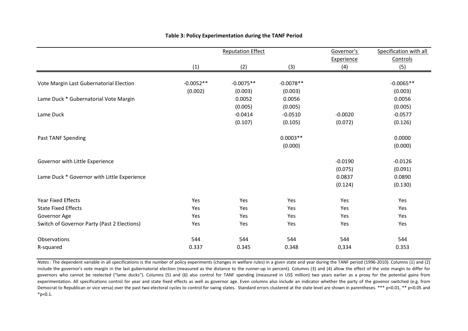|                                             |             | <b>Reputation Effect</b> |             | Governor's | Specification with all |
|---------------------------------------------|-------------|--------------------------|-------------|------------|------------------------|
|                                             |             |                          |             | Experience | Controls               |
|                                             | (1)         | (2)                      | (3)         | (4)        | (5)                    |
|                                             |             |                          |             |            |                        |
| Vote Margin Last Gubernatorial Election     | $-0.0052**$ | $-0.0075**$              | $-0.0078**$ |            | $-0.0065**$            |
|                                             | (0.002)     | (0.003)                  | (0.003)     |            | (0.003)                |
| Lame Duck * Gubernatorial Vote Margin       |             | 0.0052                   | 0.0056      |            | 0.0056                 |
|                                             |             | (0.005)                  | (0.005)     |            | (0.005)                |
| Lame Duck                                   |             | $-0.0414$                | $-0.0510$   | $-0.0020$  | $-0.0577$              |
|                                             |             | (0.107)                  | (0.105)     | (0.072)    | (0.126)                |
| Past TANF Spending                          |             |                          | $0.0003**$  |            | 0.0000                 |
|                                             |             |                          | (0.000)     |            | (0.000)                |
|                                             |             |                          |             |            |                        |
| Governor with Little Experience             |             |                          |             | $-0.0190$  | $-0.0126$              |
|                                             |             |                          |             | (0.075)    | (0.091)                |
| Lame Duck * Governor with Little Experience |             |                          |             | 0.0837     | 0.0890                 |
|                                             |             |                          |             | (0.124)    | (0.130)                |
| <b>Year Fixed Effects</b>                   | Yes         | Yes                      | Yes         | Yes        | Yes                    |
| <b>State Fixed Effects</b>                  | Yes         | Yes                      | Yes         | Yes        | Yes                    |
| Governor Age                                | Yes         | Yes                      | Yes         | Yes        | Yes                    |
| Switch of Governor Party (Past 2 Elections) | Yes         | Yes                      | Yes         | Yes        | Yes                    |
| Observations                                | 544         | 544                      | 544         | 544        | 544                    |
| R-squared                                   | 0.337       | 0.345                    | 0.348       | 0,334      | 0.353                  |

#### **Table 3: Policy Experimentation during the TANF Period**

*Notes*: The dependent variable in all specifications is the number of policy experiments (changes in welfare rules) in a given state and year during the TANF period (1996-2010). Columns (1) and (2) include the governor's vote margin in the last gubernatorial election (measured as the distance to the runner-up in percent). Columns (3) and (4) allow the effect of the vote margin to differ for governors who cannot be reelected ("lame ducks"). Columns (5) and (6) also control for TANF spending (measured in US\$ million) two years earlier as a proxy for the potential gains from experimentation. All specifications control for year and state fixed effects as well as governor age. Even columns also include an indicator whether the party of the govenor switched (e.g. from Democrat to Republican or vice versa) over the past two electoral cycles to control for swing states. Standard errors clustered at the state level are shown in parentheses. \*\*\* p<0.01, \*\* p<0.05 and  $*p<0.1$ .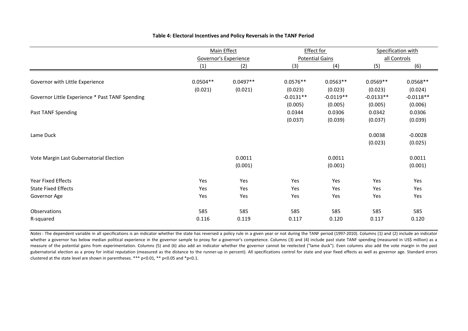|                                                 |                              | Main Effect |             | <b>Effect for</b>      |             | Specification with |
|-------------------------------------------------|------------------------------|-------------|-------------|------------------------|-------------|--------------------|
|                                                 | <b>Governor's Experience</b> |             |             | <b>Potential Gains</b> |             | all Controls       |
|                                                 | (1)                          | (2)         | (3)         | (4)                    | (5)         | (6)                |
|                                                 |                              |             |             |                        |             |                    |
| Governor with Little Experience                 | $0.0504**$                   | $0.0497**$  | $0.0576**$  | $0.0563**$             | $0.0569**$  | $0.0568**$         |
|                                                 | (0.021)                      | (0.021)     | (0.023)     | (0.023)                | (0.023)     | (0.024)            |
| Governor Little Experience * Past TANF Spending |                              |             | $-0.0131**$ | $-0.0119**$            | $-0.0133**$ | $-0.0118**$        |
|                                                 |                              |             | (0.005)     | (0.005)                | (0.005)     | (0.006)            |
| Past TANF Spending                              |                              |             | 0.0344      | 0.0306                 | 0.0342      | 0.0306             |
|                                                 |                              |             | (0.037)     | (0.039)                | (0.037)     | (0.039)            |
| Lame Duck                                       |                              |             |             |                        | 0.0038      | $-0.0028$          |
|                                                 |                              |             |             |                        | (0.023)     | (0.025)            |
| Vote Margin Last Gubernatorial Election         |                              | 0.0011      |             | 0.0011                 |             | 0.0011             |
|                                                 |                              | (0.001)     |             | (0.001)                |             | (0.001)            |
| <b>Year Fixed Effects</b>                       | Yes                          | Yes         | Yes         | Yes                    | Yes         | Yes                |
| <b>State Fixed Effects</b>                      | Yes                          | Yes         | Yes         | Yes                    | Yes         | Yes                |
| Governor Age                                    | Yes                          | Yes         | Yes         | Yes                    | Yes         | Yes                |
| Observations                                    | 585                          | 585         | 585         | 585                    | 585         | 585                |
| R-squared                                       | 0.116                        | 0.119       | 0.117       | 0.120                  | 0.117       | 0.120              |

#### **Table 4: Electoral Incentives and Policy Reversals in the TANF Period**

*Notes*: The dependent variable in all specifications is an indicator whether the state has reversed a policy rule in a given year or not during the TANF period (1997-2010). Columns (1) and (2) include an indicator whether a governor has below median political experience in the governor sample to proxy for a governor's competence. Columns (3) and (4) include past state TANF spending (measured in US\$ million) as a measure of the potential gains from experimentation. Columns (5) and (6) also add an indicator whether the governor cannot be reelected ("lame duck"). Even columns also add the vote margin in the past gubernatorial election as a proxy for initial reputation (measured as the distance to the runner-up in percent). All specifications control for state and year fixed effects as well as governor age. Standard errors clustered at the state level are shown in parentheses. \*\*\* p<0.01, \*\* p<0.05 and \*p<0.1.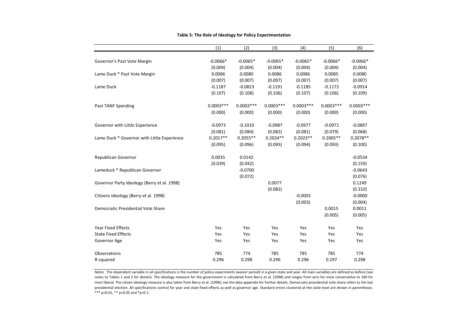|                                             | (1)         | (2)         | (3)         | (4)         | (5)         | (6)         |
|---------------------------------------------|-------------|-------------|-------------|-------------|-------------|-------------|
| Governor's Past Vote Margin                 | $-0.0066*$  | $-0.0065*$  | $-0.0065*$  | $-0.0065*$  | $-0.0066*$  | $-0.0066*$  |
|                                             | (0.004)     | (0.004)     | (0.004)     | (0.004)     | (0.004)     | (0.004)     |
| Lame Duck * Past Vote Margin                | 0.0086      | 0.0080      | 0.0086      | 0.0086      | 0.0085      | 0.0080      |
|                                             | (0.007)     | (0.007)     | (0.007)     | (0.007)     | (0.007)     | (0.007)     |
| Lame Duck                                   | $-0.1187$   | $-0.0823$   | $-0.1191$   | $-0.1185$   | $-0.1172$   | $-0.0914$   |
|                                             | (0.107)     | (0.108)     | (0.106)     | (0.107)     | (0.106)     | (0.109)     |
| Past TANF Spending                          | $0.0003***$ | $0.0003***$ | $0.0003***$ | $0.0003***$ | $0.0003***$ | $0.0003***$ |
|                                             | (0.000)     | (0.000)     | (0.000)     | (0.000)     | (0.000)     | (0.000)     |
| Governor with Little Experience             | $-0.0973$   | $-0.1010$   | $-0.0987$   | $-0.0977$   | $-0.0971$   | $-0.0897$   |
|                                             | (0.081)     | (0.084)     | (0.082)     | (0.081)     | (0.079)     | (0.068)     |
| Lame Duck * Governor with Little Experience | $0.2017**$  | $0.2055**$  | $0.2024**$  | $0.2023**$  | $0.2005**$  | $0.2078**$  |
|                                             | (0.095)     | (0.096)     | (0.095)     | (0.094)     | (0.093)     | (0.100)     |
| Republican Governor                         | 0.0035      | 0.0142      |             |             |             | $-0.0534$   |
|                                             | (0.039)     | (0.042)     |             |             |             | (0.159)     |
| Lameduck * Republican Governor              |             | $-0.0700$   |             |             |             | $-0.0643$   |
|                                             |             | (0.072)     |             |             |             | (0.076)     |
| Governor Party Ideology (Berry et al. 1998) |             |             | 0.0077      |             |             | 0.1249      |
|                                             |             |             | (0.082)     |             |             | (0.310)     |
| Citizens Ideology (Berry et al. 1998)       |             |             |             | $-0.0003$   |             | $-0.0000$   |
|                                             |             |             |             | (0.003)     |             | (0.004)     |
| Democratic Presidential Vote Share          |             |             |             |             | 0.0015      | 0.0011      |
|                                             |             |             |             |             | (0.005)     | (0.005)     |
| <b>Year Fixed Effects</b>                   | Yes         | Yes         | Yes         | Yes         | Yes         | Yes         |
| <b>State Fixed Effects</b>                  | Yes         | Yes         | Yes         | Yes         | Yes         | Yes         |
| Governor Age                                | Yes         | Yes         | Yes         | Yes         | Yes         | Yes         |
| Observations                                | 785         | 774         | 785         | 785         | 785         | 774         |
| R-squared                                   | 0.296       | 0.298       | 0.296       | 0.296       | 0.297       | 0.298       |

#### **Table 5: The Role of Ideology for Policy Experimentation**

*Notes*: The dependent variable in all specifications is the number of policy experiments (waiver period) in a given state and year. All main variables are defined as before (see notes to Tables 1 and 2 for details). The ideology measure for the government is calculated from Berry et al. (1998) and ranges from zero for most conservative to 100 for most liberal. The citizen ideology measure is also taken from Berry et al. (1998); see the data appendix for further details. Democratic presidential vote share refers to the last presidential election. All specifications control for year and state fixed effects as well as governor age. Standard errors clustered at the state level are shown in parentheses. \*\*\* p<0.01, \*\* p<0.05 and \*p<0.1.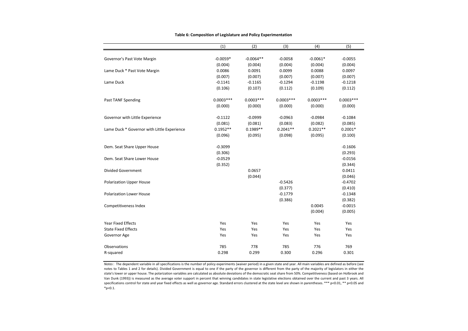|                                             | (1)         | (2)         | (3)                  | (4)         | (5)         |
|---------------------------------------------|-------------|-------------|----------------------|-------------|-------------|
|                                             | $-0.0059*$  | $-0.0064**$ |                      | $-0.0061*$  | $-0.0055$   |
| Governor's Past Vote Margin                 | (0.004)     | (0.004)     | $-0.0058$<br>(0.004) | (0.004)     | (0.004)     |
| Lame Duck * Past Vote Margin                | 0.0086      | 0.0091      | 0.0099               | 0.0088      | 0.0097      |
|                                             | (0.007)     | (0.007)     | (0.007)              | (0.007)     | (0.007)     |
| Lame Duck                                   | $-0.1141$   | $-0.1165$   | $-0.1294$            | $-0.1198$   | $-0.1218$   |
|                                             |             |             |                      |             |             |
|                                             | (0.106)     | (0.107)     | (0.112)              | (0.109)     | (0.112)     |
| Past TANF Spending                          | $0.0003***$ | $0.0003***$ | $0.0003***$          | $0.0003***$ | $0.0003***$ |
|                                             | (0.000)     | (0.000)     | (0.000)              | (0.000)     | (0.000)     |
| Governor with Little Experience             | $-0.1122$   | $-0.0999$   | $-0.0963$            | $-0.0984$   | $-0.1084$   |
|                                             | (0.081)     | (0.081)     | (0.083)              | (0.082)     | (0.085)     |
| Lame Duck * Governor with Little Experience | $0.1952**$  | $0.1989**$  | $0.2041**$           | $0.2021**$  | $0.2001*$   |
|                                             | (0.096)     | (0.095)     | (0.098)              | (0.095)     | (0.100)     |
| Dem. Seat Share Upper House                 | $-0.3099$   |             |                      |             | $-0.1606$   |
|                                             | (0.306)     |             |                      |             | (0.293)     |
| Dem. Seat Share Lower House                 | $-0.0529$   |             |                      |             | $-0.0156$   |
|                                             | (0.352)     |             |                      |             | (0.344)     |
| <b>Divided Government</b>                   |             | 0.0657      |                      |             | 0.0411      |
|                                             |             | (0.044)     |                      |             | (0.046)     |
| <b>Polarization Upper House</b>             |             |             | $-0.5426$            |             | $-0.4702$   |
|                                             |             |             | (0.377)              |             | (0.410)     |
| <b>Polarization Lower House</b>             |             |             | $-0.1779$            |             | $-0.1348$   |
|                                             |             |             | (0.386)              |             | (0.382)     |
| Competitiveness Index                       |             |             |                      | 0.0045      | $-0.0015$   |
|                                             |             |             |                      | (0.004)     | (0.005)     |
| <b>Year Fixed Effects</b>                   | Yes         | Yes         | Yes                  | Yes         | Yes         |
| <b>State Fixed Effects</b>                  | Yes         | Yes         | Yes                  | Yes         | Yes         |
| Governor Age                                | Yes         | Yes         | Yes                  | Yes         | Yes         |
| <b>Observations</b>                         | 785         | 778         | 785                  | 776         | 769         |
| R-squared                                   | 0.298       | 0.299       | 0.300                | 0.296       | 0.301       |

#### **Table 6: Composition of Legislature and Policy Experimentation**

*Notes*: The dependent variable in all specifications is the number of policy experiments (waiver period) in a given state and year. All main variables are defined as before (see notes to Tables 1 and 2 for details). Divided Government is equal to one if the party of the governor is different from the party of the majority of legislators in either the state's lower or upper house. The polarization variables are calculated as absolute deviations of the democratic seat share from 50%. Competitiveness (based on Holbrook and Van Dunk (1993)) is measured as the average voter support in percent that winning candidates in state legislative elections obtained over the current and past 3 years. All specifications control for state and year fixed effects as well as governor age. Standard errors clustered at the state level are shown in parentheses. \*\*\* p<0.01, \*\* p<0.05 and \*p<0.1.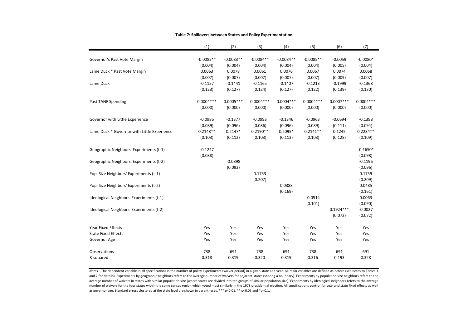|                                             | (1)         | (2)         | (3)         | (4)         | (5)         | (6)         | (7)         |
|---------------------------------------------|-------------|-------------|-------------|-------------|-------------|-------------|-------------|
|                                             |             |             |             |             |             |             |             |
| Governor's Past Vote Margin                 | $-0.0082**$ | $-0.0083**$ | $-0.0084**$ | $-0.0084**$ | $-0.0085**$ | $-0.0059$   | $-0.0080*$  |
|                                             | (0.004)     | (0.004)     | (0.004)     | (0.004)     | (0.004)     | (0.005)     | (0.004)     |
| Lame Duck * Past Vote Margin                | 0.0063      | 0.0078      | 0.0061      | 0.0076      | 0.0067      | 0.0074      | 0.0068      |
|                                             | (0.007)     | (0.007)     | (0.007)     | (0.007)     | (0.007)     | (0.009)     | (0.007)     |
| Lame Duck                                   | $-0.1157$   | $-0.1441$   | $-0.1165$   | $-0.1407$   | $-0.1213$   | $-0.1999$   | $-0.1368$   |
|                                             | (0.123)     | (0.127)     | (0.124)     | (0.127)     | (0.122)     | (0.139)     | (0.130)     |
| Past TANF Spending                          | $0.0004***$ | $0.0005***$ | $0.0004***$ | $0.0004***$ | $0.0004***$ | $0.0007***$ | $0.0004***$ |
|                                             | (0.000)     | (0.000)     | (0.000)     | (0.000)     | (0.000)     | (0.000)     | (0.000)     |
| Governor with Little Experience             | $-0.0986$   | $-0.1377$   | $-0.0993$   | $-0.1346$   | $-0.0963$   | $-0.0694$   | $-0.1398$   |
|                                             | (0.089)     | (0.096)     | (0.086)     | (0.096)     | (0.089)     | (0.111)     | (0.094)     |
| Lame Duck * Governor with Little Experience | $0.2148**$  | $0.2147*$   | $0.2190**$  | $0.2095*$   | $0.2141**$  | 0.1245      | $0.2284**$  |
|                                             | (0.103)     | (0.112)     | (0.103)     | (0.113)     | (0.103)     | (0.128)     | (0.109)     |
| Geographic Neighbors' Experiments (t-1)     | $-0.1247$   |             |             |             |             |             | $-0.1650*$  |
|                                             | (0.088)     |             |             |             |             |             | (0.098)     |
| Geographic Neighbors' Experiments (t-2)     |             | $-0.0898$   |             |             |             |             | $-0.1196$   |
|                                             |             | (0.092)     |             |             |             |             | (0.096)     |
| Pop. Size Neighbors' Experiments (t-1)      |             |             | 0.1753      |             |             |             | 0.1759      |
|                                             |             |             | (0.207)     |             |             |             | (0.209)     |
| Pop. Size Neighbors' Experiments (t-2)      |             |             |             | 0.0388      |             |             | 0.0485      |
|                                             |             |             |             | (0.169)     |             |             | (0.161)     |
| Ideological Neighbors' Experiments (t-1)    |             |             |             |             | $-0.0514$   |             | 0.0063      |
|                                             |             |             |             |             | (0.101)     |             | (0.090)     |
| Ideological Neighbors' Experiments (t-2)    |             |             |             |             |             | $0.1924***$ | $-0.0027$   |
|                                             |             |             |             |             |             | (0.072)     | (0.072)     |
| Year Fixed Effects                          | Yes         | Yes         | Yes         | Yes         | Yes         | Yes         | Yes         |
| <b>State Fixed Effects</b>                  | Yes         | Yes         | Yes         | Yes         | Yes         | Yes         | Yes         |
| Governor Age                                | Yes         | Yes         | Yes         | Yes         | Yes         | Yes         | Yes         |
|                                             |             |             |             |             |             |             |             |
| Observations                                | 738         | 691         | 738         | 691         | 738         | 691         | 691         |
| R-squared                                   | 0.318       | 0.319       | 0.320       | 0.319       | 0.316       | 0.193       | 0.328       |

#### **Table 7: Spillovers between States and Policy Experimentation**

Notes: The dependent variable in all specifications is the number of policy experiments (waiver period) in a given state and year. All main variables are defined as before (see notes to Tables 1 and 2 for details). Experiments by geographic neighbors refers to the average number of waivers for adjacent states (sharing a boundary). Experiments by population size neighbors refers to the average number of waivers in states with similar population size (where states are divided into ten groups of similar population size). Experiments by ideological neighbors refers to the average number of waivers for the four states within the same census region which voted most similarly in the 1978 presidential election. All specifications control for year and state fixed effects as well as governor age. Standard errors clustered at the state level are shown in parentheses. \*\*\* p<0.01, \*\* p<0.05 and \*p<0.1.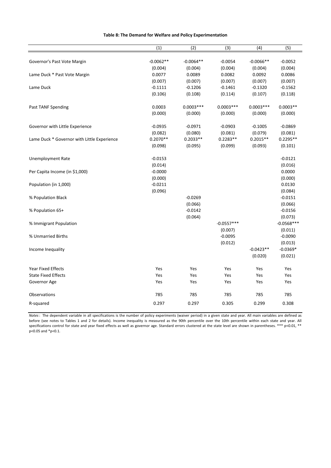|                                             | (1)         | (2)         | (3)          | (4)         | (5)          |
|---------------------------------------------|-------------|-------------|--------------|-------------|--------------|
|                                             |             |             |              |             |              |
| Governor's Past Vote Margin                 | $-0.0062**$ | $-0.0064**$ | $-0.0054$    | $-0.0066**$ | $-0.0052$    |
|                                             | (0.004)     | (0.004)     | (0.004)      | (0.004)     | (0.004)      |
| Lame Duck * Past Vote Margin                | 0.0077      | 0.0089      | 0.0082       | 0.0092      | 0.0086       |
|                                             | (0.007)     | (0.007)     | (0.007)      | (0.007)     | (0.007)      |
| Lame Duck                                   | $-0.1111$   | $-0.1206$   | $-0.1461$    | $-0.1320$   | $-0.1562$    |
|                                             | (0.106)     | (0.108)     | (0.114)      | (0.107)     | (0.118)      |
| Past TANF Spending                          | 0.0003      | $0.0003***$ | $0.0003***$  | $0.0003***$ | $0.0003**$   |
|                                             | (0.000)     | (0.000)     | (0.000)      | (0.000)     | (0.000)      |
| Governor with Little Experience             | $-0.0935$   | $-0.0971$   | $-0.0903$    | $-0.1005$   | $-0.0869$    |
|                                             | (0.082)     | (0.080)     | (0.081)      | (0.079)     | (0.081)      |
| Lame Duck * Governor with Little Experience | $0.2070**$  | $0.2033**$  | $0.2283**$   | $0.2015**$  | $0.2295**$   |
|                                             | (0.098)     | (0.095)     | (0.099)      | (0.093)     | (0.101)      |
| <b>Unemployment Rate</b>                    | $-0.0153$   |             |              |             | $-0.0121$    |
|                                             | (0.014)     |             |              |             | (0.016)      |
| Per Capita Income (in \$1,000)              | $-0.0000$   |             |              |             | 0.0000       |
|                                             | (0.000)     |             |              |             | (0.000)      |
| Population (in 1,000)                       | $-0.0211$   |             |              |             | 0.0130       |
|                                             | (0.096)     |             |              |             | (0.084)      |
| % Population Black                          |             | $-0.0269$   |              |             | $-0.0151$    |
|                                             |             | (0.066)     |              |             | (0.066)      |
| % Population 65+                            |             | $-0.0142$   |              |             | $-0.0156$    |
|                                             |             | (0.064)     |              |             | (0.073)      |
| % Immigrant Population                      |             |             | $-0.0557***$ |             | $-0.0568***$ |
|                                             |             |             | (0.007)      |             | (0.011)      |
| % Unmarried Births                          |             |             | $-0.0095$    |             | $-0.0090$    |
|                                             |             |             | (0.012)      |             | (0.013)      |
| Income Inequality                           |             |             |              | $-0.0423**$ | $-0.0369*$   |
|                                             |             |             |              | (0.020)     | (0.021)      |
| <b>Year Fixed Effects</b>                   | Yes         | Yes         | Yes          | Yes         | Yes          |
| <b>State Fixed Effects</b>                  | Yes         | Yes         | Yes          | Yes         | Yes          |
| Governor Age                                | Yes         | Yes         | Yes          | Yes         | Yes          |
| Observations                                | 785         | 785         | 785          | 785         | 785          |
| R-squared                                   | 0.297       | 0.297       | 0.305        | 0.299       | 0.308        |

*Notes*: The dependent variable in all specifications is the number of policy experiments (waiver period) in a given state and year. All main variables are defined as before (see notes to Tables 1 and 2 for details). Income inequality is measured as the 90th percentile over the 10th percentile within each state and year. All specifications control for state and year fixed effects as well as governor age. Standard errors clustered at the state level are shown in parentheses. \*\*\* p<0.01, \*\*  $p$  < 0.05 and  $*p$  < 0.1.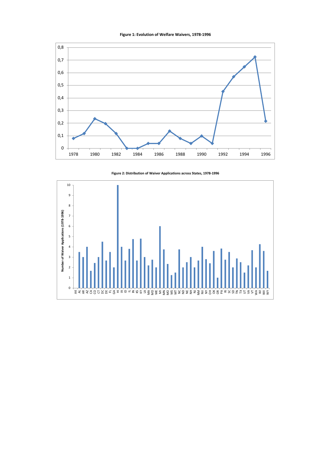



**Figure 2: Distribution of Waiver Applications across States, 1978-1996**

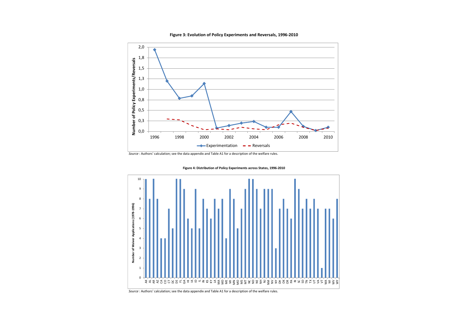#### **Figure 3: Evolution of Policy Experiments and Reversals, 1996-2010**



*Source* : Authors' calculation; see the data appendix and Table A1 for a description of the welfare rules.



**Figure 4: Distribution of Policy Experiments across States, 1996-2010**

*Source* : Authors' calculation; see the data appendix and Table A1 for a description of the welfare rules.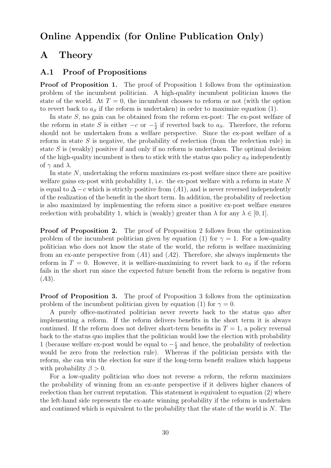## Online Appendix (for Online Publication Only)

## A Theory

### A.1 Proof of Propositions

**Proof of Proposition 1.** The proof of Proposition 1 follows from the optimization problem of the incumbent politician. A high-quality incumbent politician knows the state of the world. At  $T=0$ , the incumbent chooses to reform or not (with the option to revert back to  $a<sub>S</sub>$  if the reform is undertaken) in order to maximize equation (1).

In state S, no gain can be obtained from the reform ex-post: The ex-post welfare of the reform in state S is either  $-c$  or  $-\frac{c}{2}$  $\frac{c}{2}$  if reverted back to  $a_S$ . Therefore, the reform should not be undertaken from a welfare perspective. Since the ex-post welfare of a reform in state  $S$  is negative, the probability of reelection (from the reelection rule) in state  $S$  is (weakly) positive if and only if no reform is undertaken. The optimal decision of the high-quality incumbent is then to stick with the status quo policy  $a<sub>S</sub>$  independently of  $\gamma$  and  $\lambda$ .

In state  $N$ , undertaking the reform maximizes ex-post welfare since there are positive welfare gains ex-post with probability 1, i.e. the ex-post welfare with a reform in state  $N$ is equal to  $\Delta$  – c which is strictly positive from (A1), and is never reversed independently of the realization of the benefit in the short term. In addition, the probability of reelection is also maximized by implementing the reform since a positive ex-post welfare ensures reelection with probability 1, which is (weakly) greater than  $\lambda$  for any  $\lambda \in [0, 1]$ .

**Proof of Proposition 2.** The proof of Proposition 2 follows from the optimization problem of the incumbent politician given by equation (1) for  $\gamma = 1$ . For a low-quality politician who does not know the state of the world, the reform is welfare maximizing from an ex-ante perspective from  $(A1)$  and  $(A2)$ . Therefore, she always implements the reform in  $T = 0$ . However, it is welfare-maximizing to revert back to  $a<sub>S</sub>$  if the reform fails in the short run since the expected future benefit from the reform is negative from  $(A3).$ 

Proof of Proposition 3. The proof of Proposition 3 follows from the optimization problem of the incumbent politician given by equation (1) for  $\gamma = 0$ .

A purely office-motivated politician never reverts back to the status quo after implementing a reform. If the reform delivers benefits in the short term it is always continued. If the reform does not deliver short-term benefits in  $T = 1$ , a policy reversal back to the status quo implies that the politician would lose the election with probability 1 (because welfare ex-post would be equal to  $-\frac{c}{2}$  $\frac{c}{2}$  and hence, the probability of reelection would be zero from the reelection rule). Whereas if the politician persists with the reform, she can win the election for sure if the long-term benefit realizes which happens with probability  $\beta > 0$ .

For a low-quality politician who does not reverse a reform, the reform maximizes the probability of winning from an ex-ante perspective if it delivers higher chances of reelection than her current reputation. This statement is equivalent to equation (2) where the left-hand side represents the ex-ante winning probability if the reform is undertaken and continued which is equivalent to the probability that the state of the world is  $N$ . The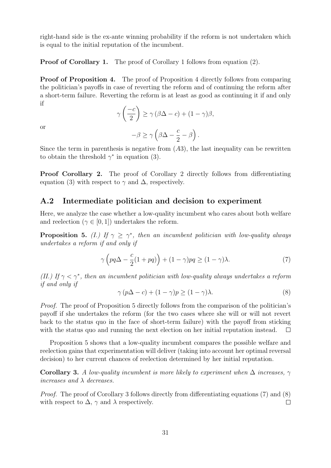right-hand side is the ex-ante winning probability if the reform is not undertaken which is equal to the initial reputation of the incumbent.

Proof of Corollary 1. The proof of Corollary 1 follows from equation (2).

Proof of Proposition 4. The proof of Proposition 4 directly follows from comparing the politician's payoffs in case of reverting the reform and of continuing the reform after a short-term failure. Reverting the reform is at least as good as continuing it if and only if

$$
\gamma\left(\frac{-c}{2}\right) \ge \gamma\left(\beta\Delta - c\right) + (1-\gamma)\beta,
$$

or

$$
-\beta \geq \gamma \left(\beta \Delta - \frac{c}{2} - \beta\right).
$$

Since the term in parenthesis is negative from  $(A3)$ , the last inequality can be rewritten to obtain the threshold  $\gamma^*$  in equation (3).

**Proof Corollary 2.** The proof of Corollary 2 directly follows from differentiating equation (3) with respect to  $\gamma$  and  $\Delta$ , respectively.

### A.2 Intermediate politician and decision to experiment

Here, we analyze the case whether a low-quality incumbent who cares about both welfare and reelection ( $\gamma \in [0, 1]$ ) undertakes the reform.

**Proposition 5.** (I.) If  $\gamma \geq \gamma^*$ , then an incumbent politician with low-quality always undertakes a reform if and only if

$$
\gamma \left( pq\Delta - \frac{c}{2}(1 + pq) \right) + (1 - \gamma)pq \ge (1 - \gamma)\lambda. \tag{7}
$$

(II.) If  $\gamma < \gamma^*$ , then an incumbent politician with low-quality always undertakes a reform if and only if

$$
\gamma (p\Delta - c) + (1 - \gamma)p \ge (1 - \gamma)\lambda.
$$
 (8)

Proof. The proof of Proposition 5 directly follows from the comparison of the politician's payoff if she undertakes the reform (for the two cases where she will or will not revert back to the status quo in the face of short-term failure) with the payoff from sticking with the status quo and running the next election on her initial reputation instead.  $\Box$ 

Proposition 5 shows that a low-quality incumbent compares the possible welfare and reelection gains that experimentation will deliver (taking into account her optimal reversal decision) to her current chances of reelection determined by her initial reputation.

**Corollary 3.** A low-quality incumbent is more likely to experiment when  $\Delta$  increases,  $\gamma$ increases and  $\lambda$  decreases.

Proof. The proof of Corollary 3 follows directly from differentiating equations (7) and (8) with respect to  $\Delta$ ,  $\gamma$  and  $\lambda$  respectively.  $\Box$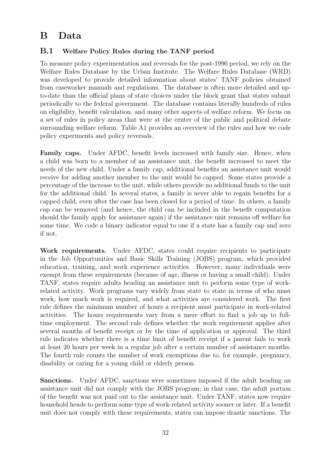## B Data

### B.1 Welfare Policy Rules during the TANF period

To measure policy experimentation and reversals for the post-1996 period, we rely on the Welfare Rules Database by the Urban Institute. The Welfare Rules Database (WRD) was developed to provide detailed information about states' TANF policies obtained from caseworker manuals and regulations. The database is often more detailed and upto-date than the official plans of state choices under the block grant that states submit periodically to the federal government. The database contains literally hundreds of rules on eligibility, benefit calculation, and many other aspects of welfare reform. We focus on a set of rules in policy areas that were at the center of the public and political debate surrounding welfare reform. Table A1 provides an overview of the rules and how we code policy experiments and policy reversals.

Family caps. Under AFDC, benefit levels increased with family size. Hence, when a child was born to a member of an assistance unit, the benefit increased to meet the needs of the new child. Under a family cap, additional benefits an assistance unit would receive for adding another member to the unit would be capped. Some states provide a percentage of the increase to the unit, while others provide no additional funds to the unit for the additional child. In several states, a family is never able to regain benefits for a capped child, even after the case has been closed for a period of time. In others, a family cap can be removed (and hence, the child can be included in the benefit computation should the family apply for assistance again) if the assistance unit remains off welfare for some time. We code a binary indicator equal to one if a state has a family cap and zero if not.

Work requirements. Under AFDC, states could require recipients to participate in the Job Opportunities and Basic Skills Training (JOBS) program, which provided education, training, and work experience activities. However, many individuals were exempt from these requirements (because of age, illness or having a small child). Under TANF, states require adults heading an assistance unit to perform some type of workrelated activity. Work programs vary widely from state to state in terms of who must work, how much work is required, and what activities are considered work. The first rule defines the minimum number of hours a recipient must participate in work-related activities. The hours requirements vary from a mere effort to find a job up to fulltime employment. The second rule defines whether the work requirement applies after several months of benefit receipt or by the time of application or approval. The third rule indicates whether there is a time limit of benefit receipt if a parent fails to work at least 20 hours per week in a regular job after a certain number of assistance months. The fourth rule counts the number of work exemptions due to, for example, pregnancy, disability or caring for a young child or elderly person.

Sanctions. Under AFDC, sanctions were sometimes imposed if the adult heading an assistance unit did not comply with the JOBS program; in that case, the adult portion of the benefit was not paid out to the assistance unit. Under TANF, states now require household heads to perform some type of work-related activity sooner or later. If a benefit unit does not comply with these requirements, states can impose drastic sanctions. The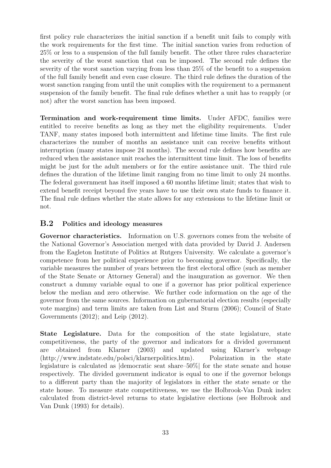first policy rule characterizes the initial sanction if a benefit unit fails to comply with the work requirements for the first time. The initial sanction varies from reduction of 25% or less to a suspension of the full family benefit. The other three rules characterize the severity of the worst sanction that can be imposed. The second rule defines the severity of the worst sanction varying from less than 25% of the benefit to a suspension of the full family benefit and even case closure. The third rule defines the duration of the worst sanction ranging from until the unit complies with the requirement to a permanent suspension of the family benefit. The final rule defines whether a unit has to reapply (or not) after the worst sanction has been imposed.

Termination and work-requirement time limits. Under AFDC, families were entitled to receive benefits as long as they met the eligibility requirements. Under TANF, many states imposed both intermittent and lifetime time limits. The first rule characterizes the number of months an assistance unit can receive benefits without interruption (many states impose 24 months). The second rule defines how benefits are reduced when the assistance unit reaches the intermittent time limit. The loss of benefits might be just for the adult members or for the entire assistance unit. The third rule defines the duration of the lifetime limit ranging from no time limit to only 24 months. The federal government has itself imposed a 60 months lifetime limit; states that wish to extend benefit receipt beyond five years have to use their own state funds to finance it. The final rule defines whether the state allows for any extensions to the lifetime limit or not.

### B.2 Politics and ideology measures

Governor characteristics. Information on U.S. governors comes from the website of the National Governor's Association merged with data provided by David J. Andersen from the Eagleton Institute of Politics at Rutgers University. We calculate a governor's competence from her political experience prior to becoming governor. Specifically, the variable measures the number of years between the first electoral office (such as member of the State Senate or Attorney General) and the inauguration as governor. We then construct a dummy variable equal to one if a governor has prior political experience below the median and zero otherwise. We further code information on the age of the governor from the same sources. Information on gubernatorial election results (especially vote margins) and term limits are taken from List and Sturm (2006); Council of State Governments (2012); and Leip (2012).

State Legislature. Data for the composition of the state legislature, state competitiveness, the party of the governor and indicators for a divided government are obtained from Klarner (2003) and updated using Klarner's webpage (http://www.indstate.edu/polsci/klarnerpolitics.htm). Polarization in the state legislature is calculated as |democratic seat share–50%| for the state senate and house respectively. The divided government indicator is equal to one if the governor belongs to a different party than the majority of legislators in either the state senate or the state house. To measure state competitiveness, we use the Holbrook-Van Dunk index calculated from district-level returns to state legislative elections (see Holbrook and Van Dunk (1993) for details).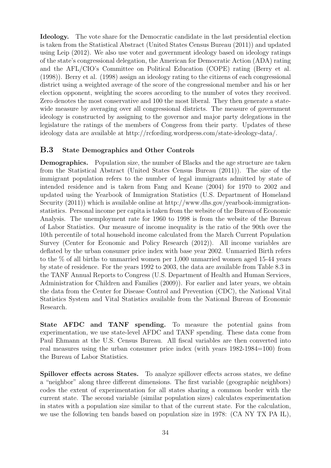Ideology. The vote share for the Democratic candidate in the last presidential election is taken from the Statistical Abstract (United States Census Bureau (2011)) and updated using Leip (2012). We also use voter and government ideology based on ideology ratings of the state's congressional delegation, the American for Democratic Action (ADA) rating and the AFL/CIO's Committee on Political Education (COPE) rating (Berry et al. (1998)). Berry et al. (1998) assign an ideology rating to the citizens of each congressional district using a weighted average of the score of the congressional member and his or her election opponent, weighting the scores according to the number of votes they received. Zero denotes the most conservative and 100 the most liberal. They then generate a statewide measure by averaging over all congressional districts. The measure of government ideology is constructed by assigning to the governor and major party delegations in the legislature the ratings of the members of Congress from their party. Updates of these ideology data are available at http://rcfording.wordpress.com/state-ideology-data/.

### B.3 State Demographics and Other Controls

Demographics. Population size, the number of Blacks and the age structure are taken from the Statistical Abstract (United States Census Bureau (2011)). The size of the immigrant population refers to the number of legal immigrants admitted by state of intended residence and is taken from Fang and Keane (2004) for 1970 to 2002 and updated using the Yearbook of Immigration Statistics (U.S. Department of Homeland Security (2011)) which is available online at http://www.dhs.gov/yearbook-immigrationstatistics. Personal income per capita is taken from the website of the Bureau of Economic Analysis. The unemployment rate for 1960 to 1998 is from the website of the Bureau of Labor Statistics. Our measure of income inequality is the ratio of the 90th over the 10th percentile of total household income calculated from the March Current Population Survey (Center for Economic and Policy Research (2012)). All income variables are deflated by the urban consumer price index with base year 2002. Unmarried Birth refers to the % of all births to unmarried women per 1,000 unmarried women aged 15-44 years by state of residence. For the years 1992 to 2003, the data are available from Table 8.3 in the TANF Annual Reports to Congress (U.S. Department of Health and Human Services, Administration for Children and Families (2009)). For earlier and later years, we obtain the data from the Center for Disease Control and Prevention (CDC), the National Vital Statistics System and Vital Statistics available from the National Bureau of Economic Research.

State AFDC and TANF spending. To measure the potential gains from experimentation, we use state-level AFDC and TANF spending. These data come from Paul Ehmann at the U.S. Census Bureau. All fiscal variables are then converted into real measures using the urban consumer price index (with years 1982-1984=100) from the Bureau of Labor Statistics.

Spillover effects across States. To analyze spillover effects across states, we define a "neighbor" along three different dimensions. The first variable (geographic neighbors) codes the extent of experimentation for all states sharing a common border with the current state. The second variable (similar population sizes) calculates experimentation in states with a population size similar to that of the current state. For the calculation, we use the following ten bands based on population size in 1978: (CA NY TX PA IL),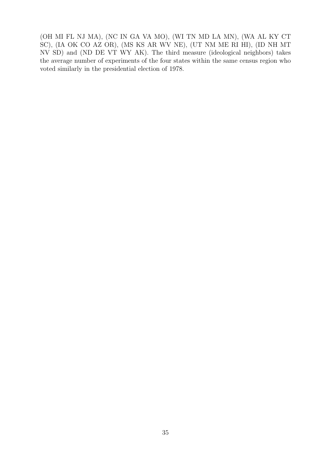(OH MI FL NJ MA), (NC IN GA VA MO), (WI TN MD LA MN), (WA AL KY CT SC), (IA OK CO AZ OR), (MS KS AR WV NE), (UT NM ME RI HI), (ID NH MT NV SD) and (ND DE VT WY AK). The third measure (ideological neighbors) takes the average number of experiments of the four states within the same census region who voted similarly in the presidential election of 1978.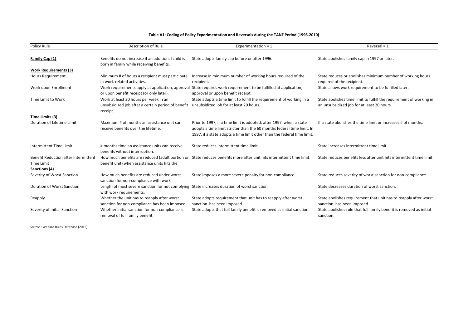| Policy Rule                                                         | Description of Rule                                                                                                     | Experimentation = $1$                                                                                                                                                                                                    | Reversal = $1$                                                                                                    |
|---------------------------------------------------------------------|-------------------------------------------------------------------------------------------------------------------------|--------------------------------------------------------------------------------------------------------------------------------------------------------------------------------------------------------------------------|-------------------------------------------------------------------------------------------------------------------|
|                                                                     |                                                                                                                         |                                                                                                                                                                                                                          |                                                                                                                   |
| Family Cap (1)                                                      | Benefits do not increase if an additional child is                                                                      | State adopts family cap before or after 1996.                                                                                                                                                                            | State abolishes family cap in 1997 or later.                                                                      |
|                                                                     | born in family while receiving benefits.                                                                                |                                                                                                                                                                                                                          |                                                                                                                   |
| <b>Work Requirements (3)</b>                                        |                                                                                                                         |                                                                                                                                                                                                                          |                                                                                                                   |
| <b>Hours Requirement</b>                                            | Minimum # of hours a recipient must participate<br>in work-related activities.                                          | Increase in minimum number of working hours required of the<br>recipient.                                                                                                                                                | State reduces or abolishes minimum number of working hours<br>required of the recipient.                          |
| Work upon Enrollment                                                | Work requirements apply at application, approval<br>or upon benefit receipt (or only later).                            | State requires work requirement to be fulfilled at application,<br>approval or upon benefit receipt.                                                                                                                     | State allows work requirement to be fulfilled later.                                                              |
| Time Limit to Work                                                  | Work at least 20 hours per week in an<br>unsubsidized job after a certain period of benefit<br>receipt.                 | State adopts a time limit to fulfill the requirement of working in a<br>unsubsidized job for at least 20 hours.                                                                                                          | State abolishes time limit to fulfill the requirement of working in<br>an unsubsidized job for at least 20 hours. |
| Time Limits (3)                                                     |                                                                                                                         |                                                                                                                                                                                                                          |                                                                                                                   |
| Duration of Lifetime Limit                                          | Maximum # of months an assistance unit can<br>receive benefits over the lifetime.                                       | Prior to 1997, if a time limit is adopted; after 1997, when a state<br>adopts a time limit stricter than the 60 months federal time limit. In<br>1997, if a state adopts a time limit other than the federal time limit. | If a state abolishes the time limit or increases # of months.                                                     |
| Intermittent Time Limit                                             | # months time an assistance units can receive<br>benefits without interruption.                                         | State reduces intermittent time limit.                                                                                                                                                                                   | State increases intermittent time limit.                                                                          |
| Benefit Reduction after Intermittent<br>Time Limit<br>Sanctions (4) | benefit unit) when assistance units hits the                                                                            | How much benefits are reduced (adult portion or State reduces benefits more after unit hits intermittent time limit.                                                                                                     | State reduces benefits less after unit hits intermittent time limit.                                              |
| Severity of Worst Sanction                                          | How much benefits are reduced under worst<br>sanction for non-compliance with work                                      | State imposes a more severe penalty for non-compliance.                                                                                                                                                                  | State reduces severity of worst sanction for non-compliance.                                                      |
| <b>Duration of Worst Sanction</b>                                   | Length of most severe sanction for not complying State increases duration of worst sanction.<br>with work requirements. |                                                                                                                                                                                                                          | State decreases duration of worst sanction.                                                                       |
| Reapply                                                             | Whether the unit has to reapply after worst<br>sanction for non-compliance has been imposed.                            | State adopts requirement that unit has to reapply after worst<br>sanction has been imposed.                                                                                                                              | State abolishes requirement that unit has to reapply after worst<br>sanction has been imposed.                    |
| Severity of Initial Sanction                                        | Whether initial sanction for non-compliance is<br>removal of full family benefit.                                       | State adopts that full family benefit is removed as initial sanction.                                                                                                                                                    | State abolishes rule that full family benefit is removed as initial<br>sanction.                                  |

#### **Table A1: Coding of Policy Experimentation and Reversals during the TANF Period (1996-2010)**

*Source* : Welfare Rules Database (2015)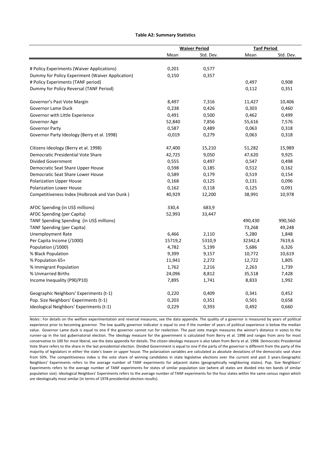#### **Table A2: Summary Statistics**

|                                                  |          | <b>Waiver Period</b> |         | <b>Tanf Period</b> |
|--------------------------------------------------|----------|----------------------|---------|--------------------|
|                                                  | Mean     | Std. Dev.            | Mean    | Std. Dev.          |
|                                                  |          |                      |         |                    |
| # Policy Experiments (Waiver Applications)       | 0,201    | 0,577                |         |                    |
| Dummy for Policy Experiment (Waiver Application) | 0,150    | 0,357                |         |                    |
| # Policy Experiments (TANF period)               |          |                      | 0,497   | 0,908              |
| Dummy for Policy Reversal (TANF Period)          |          |                      | 0,112   | 0,351              |
| Governor's Past Vote Margin                      | 8,497    | 7,316                | 11,427  | 10,406             |
| Governor Lame Duck                               | 0,238    | 0,426                | 0,303   | 0,460              |
| Governor with Little Experience                  | 0,491    | 0,500                | 0,462   | 0,499              |
| Governor Age                                     | 52,840   | 7,856                | 55,616  | 7,576              |
| <b>Governor Party</b>                            | 0,587    | 0,489                | 0,063   | 0,318              |
| Governor Party Ideology (Berry et al. 1998)      | $-0,019$ | 0,279                | 0,063   | 0,318              |
| Citizens Ideology (Berry et al. 1998)            | 47,400   | 15,210               | 51,282  | 15,989             |
| Democratic Presidential Vote Share               | 42,725   | 9,050                | 47,620  | 9,925              |
| <b>Divided Government</b>                        | 0,555    | 0,497                | 0,547   | 0,498              |
| Democratic Seat Share Upper House                | 0,598    | 0,185                | 0,512   | 0,162              |
| Democratic Seat Share Lower House                | 0,589    | 0,179                | 0,519   | 0,154              |
| <b>Polarization Upper House</b>                  | 0,168    | 0,125                | 0,131   | 0,096              |
| <b>Polarization Lower House</b>                  | 0,162    | 0,118                | 0,125   | 0,091              |
| Competitiveness Index (Holbrook and Van Dunk)    | 40,929   | 12,200               | 38,991  | 10,978             |
| AFDC Spending (in US\$ millions)                 | 330,4    | 683,9                |         |                    |
| AFDC Spending (per Capita)                       | 52,993   | 33,447               |         |                    |
| TANF Spending Spending (in US\$ millions)        |          |                      | 490,430 | 990,560            |
| <b>TANF Spending (per Capita)</b>                |          |                      | 73,268  | 49,248             |
| <b>Unemployment Rate</b>                         | 6,466    | 2,110                | 5,280   | 1,848              |
| Per Capita Income (/1000)                        | 15719,2  | 5310,9               | 32342,4 | 7619,6             |
| Population (/1000)                               | 4,782    | 5,199                | 5,686   | 6,326              |
| % Black Population                               | 9,399    | 9,157                | 10,772  | 10,619             |
| % Population 65+                                 | 11,941   | 2,272                | 12,722  | 1,805              |
| % Immigrant Population                           | 1,762    | 2,216                | 2,263   | 1,739              |
| % Unmarried Births                               | 24,096   | 8,812                | 35,518  | 7,428              |
| Income Inequality (P90/P10)                      | 7,895    | 1,741                | 8,833   | 1,992              |
| Geographic Neighbors' Experiments (t-1)          | 0,220    | 0,409                | 0,341   | 0,452              |
| Pop. Size Neighbors' Experiments (t-1)           | 0,203    | 0,351                | 0,501   | 0,658              |
| Ideological Neighbors' Experiments (t-1)         | 0,229    | 0,393                | 0,492   | 0,660              |

*Notes*: For details on the welfare experimentation and reversal measures, see the data appendix. The quality of a governor is measured by years of political experience prior to becoming governor. The low quality governor indicator is equal to one if the number of years of political experience is below the median value. Governor Lame duck is equal to one if the governor cannot run for reelection. The past vote margin measures the winner's distance in votes to the runner-up in the last gubernatorial election. The ideology measure for the government is calculated from Berry et al. 1998 and ranges from zero for most conservative to 100 for most liberal, see the data appendix for details. The citizen ideology measure is also taken from Berry et al. 1998. Democratic Presidential Vote Share refers to the share in the last presidential election. Divided Government is equal to one if the party of the governor is different from the party of the majority of legislators in either the state's lower or upper house. The polarization variables are calculated as absolute deviations of the democratic seat share from 50%. The competitiveness index is the vote share of winning candidates in state legislative elections over the current and past 3 years.Geographic Neighbors' Experiments refers to the average number of TANF experiments for adjacent states (geographically neighboring states). Pop. Size Neighbors' Experiments refers to the average number of TANF experiments for states of similar population size (where all states are divided into ten bands of similar population size). Ideological Neighbors' Experiments refers to the average number of TANF experiments for the four states within the same census region which are ideologically most similar (in terms of 1978 presidential election results).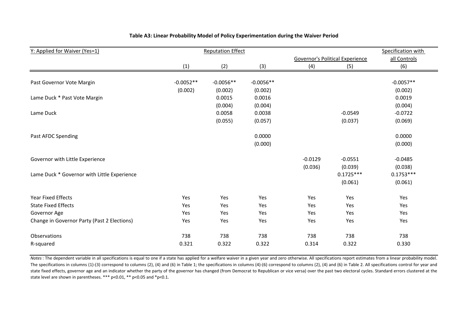| Y: Applied for Waiver (Yes=1)               |             | <b>Reputation Effect</b> |             |           |                                        | Specification with |
|---------------------------------------------|-------------|--------------------------|-------------|-----------|----------------------------------------|--------------------|
|                                             |             |                          |             |           | <b>Governor's Political Experience</b> | all Controls       |
|                                             | (1)         | (2)                      | (3)         | (4)       | (5)                                    | (6)                |
|                                             |             |                          |             |           |                                        |                    |
| Past Governor Vote Margin                   | $-0.0052**$ | $-0.0056**$              | $-0.0056**$ |           |                                        | $-0.0057**$        |
|                                             | (0.002)     | (0.002)                  | (0.002)     |           |                                        | (0.002)            |
| Lame Duck * Past Vote Margin                |             | 0.0015                   | 0.0016      |           |                                        | 0.0019             |
|                                             |             | (0.004)                  | (0.004)     |           |                                        | (0.004)            |
| Lame Duck                                   |             | 0.0058                   | 0.0038      |           | $-0.0549$                              | $-0.0722$          |
|                                             |             | (0.055)                  | (0.057)     |           | (0.037)                                | (0.069)            |
| Past AFDC Spending                          |             |                          | 0.0000      |           |                                        | 0.0000             |
|                                             |             |                          | (0.000)     |           |                                        | (0.000)            |
| Governor with Little Experience             |             |                          |             | $-0.0129$ | $-0.0551$                              | $-0.0485$          |
|                                             |             |                          |             | (0.036)   | (0.039)                                | (0.038)            |
| Lame Duck * Governor with Little Experience |             |                          |             |           | $0.1725***$                            | $0.1753***$        |
|                                             |             |                          |             |           | (0.061)                                | (0.061)            |
| <b>Year Fixed Effects</b>                   | Yes         | Yes                      | Yes         | Yes       | Yes                                    | Yes                |
| <b>State Fixed Effects</b>                  | Yes         | Yes                      | Yes         | Yes       | Yes                                    | Yes                |
| Governor Age                                | Yes         | Yes                      | Yes         | Yes       | Yes                                    | Yes                |
| Change in Governor Party (Past 2 Elections) | Yes         | Yes                      | Yes         | Yes       | Yes                                    | Yes                |
| Observations                                | 738         | 738                      | 738         | 738       | 738                                    | 738                |
| R-squared                                   | 0.321       | 0.322                    | 0.322       | 0.314     | 0.322                                  | 0.330              |

#### **Table A3: Linear Probability Model of Policy Experimentation during the Waiver Period**

*Notes*: The dependent variable in all specifications is equal to one if a state has applied for a welfare waiver in a given year and zero otherwise. All specifications report estimates from a linear probability model. The specifications in columns (1)-(3) correspond to columns (2), (4) and (6) in Table 1; the specifications in columns (4)-(6) correspond to columns (2), (4) and (6) in Table 2. All specifications control for year and state fixed effects, governor age and an indicator whether the party of the governor has changed (from Democrat to Republican or vice versa) over the past two electoral cycles. Standard errors clustered at the state level are shown in parentheses. \*\*\* p<0.01, \*\* p<0.05 and \*p<0.1.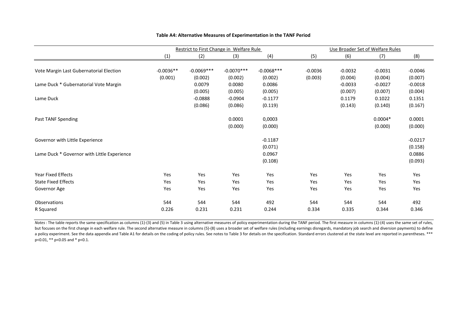|                                             | Restrict to First Change in Welfare Rule |              |              |              |           | Use Broader Set of Welfare Rules |           |           |  |
|---------------------------------------------|------------------------------------------|--------------|--------------|--------------|-----------|----------------------------------|-----------|-----------|--|
|                                             | (1)                                      | (2)          | (3)          | (4)          | (5)       | (6)                              | (7)       | (8)       |  |
|                                             |                                          |              |              |              |           |                                  |           |           |  |
| Vote Margin Last Gubernatorial Election     | $-0.0036**$                              | $-0.0069***$ | $-0.0070***$ | $-0.0068***$ | $-0.0036$ | $-0.0032$                        | $-0.0031$ | $-0.0046$ |  |
|                                             | (0.001)                                  | (0.002)      | (0.002)      | (0.002)      | (0.003)   | (0.004)                          | (0.004)   | (0.007)   |  |
| Lame Duck * Gubernatorial Vote Margin       |                                          | 0.0079       | 0.0080       | 0.0086       |           | $-0.0033$                        | $-0.0027$ | $-0.0018$ |  |
|                                             |                                          | (0.005)      | (0.005)      | (0.005)      |           | (0.007)                          | (0.007)   | (0.004)   |  |
| Lame Duck                                   |                                          | $-0.0888$    | $-0.0904$    | $-0.1177$    |           | 0.1179                           | 0.1022    | 0.1351    |  |
|                                             |                                          | (0.086)      | (0.086)      | (0.119)      |           | (0.143)                          | (0.140)   | (0.167)   |  |
| Past TANF Spending                          |                                          |              | 0.0001       | 0,0003       |           |                                  | $0.0004*$ | 0.0001    |  |
|                                             |                                          |              | (0.000)      | (0.000)      |           |                                  | (0.000)   | (0.000)   |  |
| Governor with Little Experience             |                                          |              |              | $-0.1187$    |           |                                  |           | $-0.0217$ |  |
|                                             |                                          |              |              | (0.071)      |           |                                  |           | (0.158)   |  |
| Lame Duck * Governor with Little Experience |                                          |              |              | 0.0967       |           |                                  |           | 0.0886    |  |
|                                             |                                          |              |              | (0.108)      |           |                                  |           | (0.093)   |  |
| <b>Year Fixed Effects</b>                   | Yes                                      | Yes          | Yes          | Yes          | Yes       | Yes                              | Yes       | Yes       |  |
| <b>State Fixed Effects</b>                  | Yes                                      | Yes          | Yes          | Yes          | Yes       | Yes                              | Yes       | Yes       |  |
| Governor Age                                | Yes                                      | Yes          | Yes          | Yes          | Yes       | Yes                              | Yes       | Yes       |  |
| <b>Observations</b>                         | 544                                      | 544          | 544          | 492          | 544       | 544                              | 544       | 492       |  |
| R Squared                                   | 0.226                                    | 0.231        | 0.231        | 0.244        | 0.334     | 0.335                            | 0.344     | 0.346     |  |

#### **Table A4: Alternative Measures of Experimentation in the TANF Period**

Notes: The table reports the same specification as columns (1)-(3) and (5) in Table 3 using alternative measures of policy experimentation during the TANF period. The first measure in columns (1)-(4) uses the same set of r but focuses on the first change in each welfare rule. The second alternative measure in columns (5)-(8) uses a broader set of welfare rules (including earnings disregards, mandatory job search and diversion payments) to de a policy experiment. See the data appendix and Table A1 for details on the coding of policy rules. See notes to Table 3 for details on the specification. Standard errors clustered at the state level are reported in parenth p<0.01, \*\* p<0.05 and \* p<0.1.